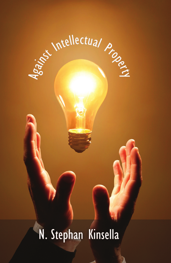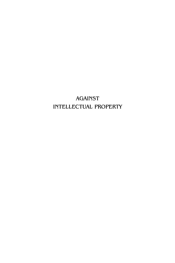## AGAINST INTELLECTUAL PROPERTY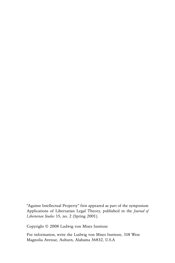"Against Intellectual Property" first appeared as part of the symposium Applications of Libertarian Legal Theory, published in the *Journal of Libertarian Studies* 15, no. 2 (Spring 2001).

Copyright © 2008 Ludwig von Mises Institute

For information, write the Ludwig von Mises Institute, 518 West Magnolia Avenue, Auburn, Alabama 36832, U.S.A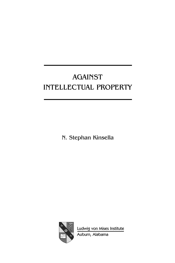# AGAINST INTELLECTUAL PROPERTY

N. Stephan Kinsella



Ludwig von Mises Institute Auburn, Alabama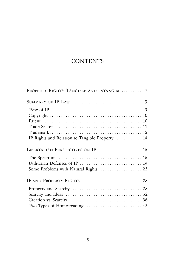## **CONTENTS**

| PROPERTY RIGHTS: TANGIBLE AND INTANGIBLE7       |
|-------------------------------------------------|
|                                                 |
|                                                 |
|                                                 |
|                                                 |
|                                                 |
|                                                 |
| IP Rights and Relation to Tangible Property  14 |
| LIBERTARIAN PERSPECTIVES ON IP 16               |
|                                                 |
|                                                 |
|                                                 |
| IP AND PROPERTY RIGHTS 28                       |
|                                                 |
|                                                 |
|                                                 |
| Two Types of Homesteading  43                   |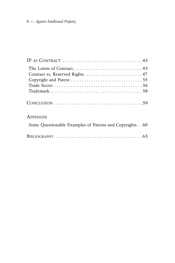| Contract vs. Reserved Rights 47                         |
|---------------------------------------------------------|
|                                                         |
|                                                         |
|                                                         |
|                                                         |
| <b>APPENDIX</b>                                         |
| Some Questionable Examples of Patents and Copyrights 60 |
|                                                         |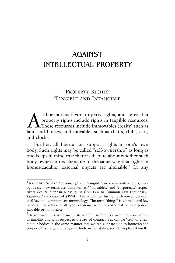## AGAINST INTELLECTUAL PROPERTY

## PROPERTY RIGHTS: TANGIBLE AND INTANGIBLE

All libertarians favor property rights, and agree that<br>property rights include rights in tangible resources.<br>These resources include immovables (realty) such as<br>land and houses and movables such as chairs clubs cars property rights include rights in tangible resources. These resources include immovables (realty) such as land and houses, and movables such as chairs, clubs, cars, and clocks. $<sup>1</sup>$ </sup>

Further, all libertarians support rights in one's own body. Such rights may be called "self-ownership" as long as one keeps in mind that there is dispute about whether such body-ownership is alienable in the same way that rights in homesteadable, external objects are alienable.<sup>2</sup> In any

<sup>&</sup>lt;sup>1</sup>Terms like "realty," "personalty," and "tangible" are common-law terms; analogous civil-law terms are "immovables," "movables," and "corporeals," respectively. See N. Stephan Kinsella, "A Civil Law to Common Law Dictionary," *Louisiana Law Review* 54 (1994): 1265–305 for further differences between civil-law and common-law terminology. The term "things" is a broad civil-law concept that refers to all types of items, whether corporeal or incorporeal, movable or immovable.

 $2$ Debate over this issue manifests itself in differences over the issue of inalienability and with respect to the law of contract, i.e., can we "sell" or alienate our bodies in the same manner that we can alienate title to homesteaded property? For arguments against body inalienability, see N. Stephan Kinsella,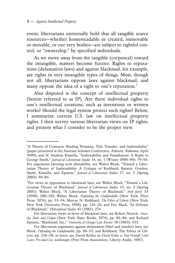event, libertarians universally hold that all tangible scarce resources—whether homesteadable or created, immovable or movable, or our very bodies—are subject to rightful control, or "ownership," by specified individuals.

As we move away from the tangible (corporeal) toward the intangible, matters become fuzzier. Rights to reputations (defamation laws) and against blackmail, for example, are rights in very intangible types of things. Most, though not all, libertarians oppose laws against blackmail, and many oppose the idea of a right to one's reputation.<sup>3</sup>

Also disputed is the concept of intellectual property (herein referred to as IP). Are there individual rights to one's intellectual creations, such as inventions or written works? Should the legal system protect such rights? Below, I summarize current U.S. law on intellectual property rights. I then survey various libertarian views on IP rights, and present what I consider to be the proper view.

<sup>&</sup>quot;A Theory of Contracts: Binding Promises, Title Transfer, and Inalienability" (paper presented at the Austrian Scholars Conference, Auburn, Alabama, April 1999); and N. Stephan Kinsella, "Inalienability and Punishment: A Reply to George Smith," *Journal of Libertarian Studies* 14, no. 1 (Winter 1998–99): 79–93. For arguments favoring such alienability, see Walter Block, "Toward a Libertarian Theory of Inalienability: A Critique of Rothbard, Barnett, Gordon, Smith, Kinsella, and Epstein," *Journal of Libertarian Studies* 17, no. 2 (Spring 2003): 39–85.

 $^3$ For views in opposition to blackmail laws, see Walter Block, "Toward a Libertarian Theory of Blackmail," *Journal of Libertarian Studies* 15, no. 2 (Spring 2001); Walter Block, "A Libertarian Theory of Blackmail," *Irish Jurist* 33 (1998): 280–310; Walter Block, *Defending the Undefendable* (New York: Fleet Press, 1976), pp. 53–54; Murray N. Rothbard, *The Ethics of Liberty* (New York: New York University Press, 1998), pp. 124–26; and Eric Mack, "In Defense of Blackmail," *Philosophical Studies* 41 (1982): 274.

For libertarian views in favor of blackmail laws, see Robert Nozick, *Anarchy, State, and Utopia* (New York: Basic Books, 1974), pp. 85–86; and Richard Epstein, "Blackmail, Inc.," *University of Chicago Law Review* 50 (1983): 553.

For libertarian arguments against defamation (libel and slander) laws, see Block, *Defending the Undefendable*, pp. 50–53; and Rothbard, The Ethics of Liberty, pp. 126–28; in favor, see David Kelley in *David Kelley vs. Nat Hentoff: Libel Laws: Pro and Con*, audiotape (Free Press Association, Liberty Audio, 1987).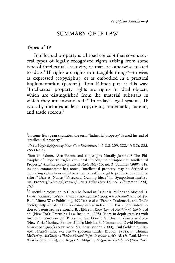#### SUMMARY OF IP LAW

#### Types of IP

Intellectual property is a broad concept that covers several types of legally recognized rights arising from some type of intellectual creativity, or that are otherwise related to ideas.<sup>4</sup> IP rights are rights to intangible things<sup>5</sup>—to *ideas*, as expressed (copyrights), or as embodied in a practical implementation (patents). Tom Palmer puts it this way: "Intellectual property rights are rights in ideal objects, which are distinguished from the material substrata in which they are instantiated."<sup>6</sup> In today's legal systems, IP typically includes at least copyrights, trademarks, patents, and trade secrets.<sup>7</sup>

<sup>&</sup>lt;sup>4</sup>In some European countries, the term "industrial property" is used instead of "intellectual property."

<sup>5</sup> *De La Vergne Refrigerating Mach. Co. v Featherstone*, 147 U.S. 209, 222, 13 S.Ct. 283, 285 (1893).

<sup>6</sup> Tom G. Palmer, "Are Patents and Copyrights Morally Justified? The Philosophy of Property Rights and Ideal Objects," in "Symposium: Intellectual Property," *Harvard Journal of Law & Public Policy* 13, no. 3 (Summer 1990): 818. As one commentator has noted, "intellectual property may be defined as embracing rights to novel ideas as contained in tangible products of cognitive effort." Dale A. Nance, "Foreword: Owning Ideas," in "Symposium: Intellectual Property," *Harvard Journal of Law & Public Policy* 13, no. 3 (Summer 1990): 757.

 ${}^{7}A$  useful introduction to IP can be found in Arthur R. Miller and Michael H. Davis, Intellectual Property: Patents, Trademarks, and Copyrights in a Nutshell, 2nd ed. (St. Paul, Minn.: West Publishing, 1990); see also "Patent, Trademark, and Trade Secret," http://profs.lp.findlaw.com/patents/ index.html. For a good introduction to patent law, see Ronald B. Hildreth, *Patent Law: A Practitioner's Guide*, 3rd ed. (New York: Practising Law Institute, 1998). More in-depth treatises with further information on IP law include Donald S. Chisum, *Chisum on Patents* (New York: Matthew Bender, 2000); Melville B. Nimmer and David Nimmer, *Nimmer on Copyright* (New York: Matthew Bender, 2000); Paul Goldstein, *Copyright: Principles, Law, and Practice* (Boston: Little, Brown, 1989); J. Thomas McCarthy, *McCarthy on Trademarks and Unfair Competition*, 4th ed. (St. Paul, Minn.: West Group, 1996); and Roger M. Milgrim, *Milgrim on Trade Secrets* (New York: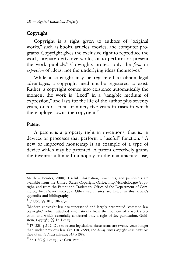#### Copyright

Copyright is a right given to authors of "original works," such as books, articles, movies, and computer programs. Copyright gives the exclusive right to reproduce the work, prepare derivative works, or to perform or present the work publicly.<sup>8</sup> Copyrights protect only the *form* or expression of ideas, not the underlying ideas themselves.<sup>9</sup>

While a copyright may be registered to obtain legal advantages, a copyright need not be registered to exist. Rather, a copyright comes into existence automatically the moment the work is "fixed" in a "tangible medium of expression," and lasts for the life of the author plus seventy years, or for a total of ninety-five years in cases in which the employer owns the copyright.<sup>10</sup>

#### Patent

A patent is a property right in inventions, that is, in devices or processes that perform a "useful" function.<sup>11</sup> A new or improved mousetrap is an example of a type of device which may be patented. A patent effectively grants the inventor a limited monopoly on the manufacture, use,

Matthew Bender, 2000). Useful information, brochures, and pamphlets are available from the United States Copyright Office, http://lcweb.loc.gov/copyright, and from the Patent and Trademark Office of the Department of Commerce, http://www.uspto.gov. Other useful sites are listed in this article's appendix and bibliography.

<sup>8</sup> 17 USC §§ 101, 106 *et pass*.

 $^{9}$ Modern copyright law has superseded and largely preempted "common law copyright," which attached automatically from the moment of a work's creation, and which essentially conferred only a right of *first* publication. Goldstein, *Copyright*, §§ 15.4 *et seq*.

 $10$ 17 USC § 302. Due to recent legislation, these terms are twenty years longer than under previous law. See HR 2589, the *Sonny Bono Copyright Term Extension Act/Fairness in Music Licensing Act of 1998*.

<sup>11</sup>35 USC § 1 *et seq*.; 37 CFR Part 1.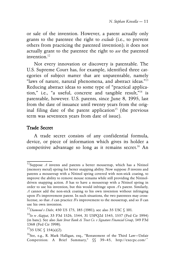or sale of the invention. However, a patent actually only grants to the patentee the right to *exclude* (i.e., to prevent others from practicing the patented invention); it does not actually grant to the patentee the right to *use* the patented  $invention<sup>12</sup>$ 

Not every innovation or discovery is patentable. The U.S. Supreme Court has, for example, identified three categories of subject matter that are unpatentable, namely "laws of nature, natural phenomena, and abstract ideas."<sup>13</sup> Reducing abstract ideas to some type of "practical application," i.e., "a useful, concrete and tangible result,"<sup>14</sup> is patentable, however. U.S. patents, since June 8, 1995, last from the date of issuance until twenty years from the original filing date of the patent application<sup>15</sup> (the previous term was seventeen years from date of issue).

#### Trade Secret

A trade secret consists of any confidential formula, device, or piece of information which gives its holder a competitive advantage so long as it remains secret.<sup>16</sup> An

<sup>12</sup>Suppose *A* invents and patents a better mousetrap, which has a Nitinol (memory metal) spring for better snapping ability. Now suppose *B* invents and patents a mousetrap with a Nitinol spring covered with non-stick coating, to improve the ability to remove mouse remains while still providing the Nitinoldriven snapping action. *B* has to have a mousetrap with a Nitinol spring in order to use his invention, but this would infringe upon *A*'s patent. Similarly, *A* cannot add the non-stick coating to his own invention without infringing upon *B*'s improvement patent. In such situations, the two patentees may crosslicense, so that *A* can practice *B*'s improvement to the mousetrap, and so *B* can use his own invention.

<sup>13</sup>*Diamond v Diehr*, 450 US 175, 185 (1981); see also 35 USC § 101.

<sup>14</sup>*In re Alappat*, 33 F3d 1526, 1544, 31 USPQ2d 1545, 1557 (Fed Cir 1994) (in banc). See also *State Street Bank & Trust Co. v Signature Financial Group*, 149 F3d 1368 (Fed Cir 1998).

<sup>&</sup>lt;sup>15</sup>35 USC  $\sqrt{(}154(a)(2)$ .

<sup>&</sup>lt;sup>16</sup>See, e.g., R. Mark Halligan, esq., "Restatement of the Third Law—Unfair Competition: A Brief Summary," §§ 39–45, http://execpc.com/~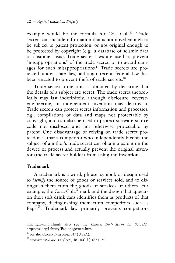example would be the formula for Coca-Cola®. Trade secrets can include information that is not novel enough to be subject to patent protection, or not original enough to be protected by copyright (e.g., a database of seismic data or customer lists). Trade secret laws are used to prevent "misappropriations" of the trade secret, or to award damages for such misappropriations.<sup>17</sup> Trade secrets are protected under state law, although recent federal law has been enacted to prevent theft of trade secrets.<sup>18</sup>

Trade secret protection is obtained by declaring that the details of a subject are secret. The trade secret theoretically may last indefinitely, although disclosure, reverseengineering, or independent invention may destroy it. Trade secrets can protect secret information and processes, e.g., compilations of data and maps not protectable by copyright, and can also be used to protect software source code not disclosed and not otherwise protectable by patent. One disadvantage of relying on trade secret protection is that a competitor who independently invents the subject of another's trade secret can obtain a patent on the device or process and actually prevent the original inventor (the trade secret holder) from using the invention.

#### Trademark

A trademark is a word, phrase, symbol, or design used to *identify* the source of goods or services sold, and to distinguish them from the goods or services of others. For example, the Coca-Cola® mark and the design that appears on their soft drink cans identifies them as products of that company, distinguishing them from competitors such as Pepsi®. Trademark law primarily prevents competitors

mhallign/unfair.html; also see the *Uniform Trade Secrets Act* (UTSA), http://nsi.org/Library/Espionage/usta.htm.

<sup>17</sup>See the *Uniform Trade Secrets Act* (UTSA).

<sup>18</sup>*Economic Espionage Act of 1996*, 18 USC §§ 1831–39.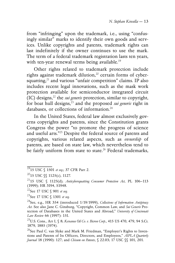from "infringing" upon the trademark, i.e., using "confusingly similar" marks to identify their own goods and services. Unlike copyrights and patents, trademark rights can last indefinitely if the owner continues to use the mark. The term of a federal trademark registration lasts ten years, with ten-year renewal terms being available.<sup>19</sup>

Other rights related to trademark protection include rights against trademark dilution, $20$  certain forms of cybersquatting, $^{21}$  and various "unfair competition" claims. IP also includes recent legal innovations, such as the mask work protection available for semiconductor integrated circuit (IC) designs,<sup>22</sup> the *sui generis* protection, similar to copyright, for boat hull designs,<sup>23</sup> and the proposed *sui generis* right in databases, or collections of information.<sup>24</sup>

In the United States, federal law almost exclusively governs copyrights and patents, since the Constitution grants Congress the power "to promote the progress of science and useful arts."<sup>25</sup> Despite the federal source of patents and copyrights, various related aspects, such as *ownership* of patents, are based on state law, which nevertheless tend to be fairly uniform from state to state.<sup>26</sup> Federal trademarks,

<sup>19</sup>15 USC § 1501 *et seq*.; 37 CFR Part 2.

 $^{20}$ 15 USC  $\$  1125(c), 1127.

<sup>21</sup>15 USC § 1125(d); *Anticybersquatting Consumer Protection Act*, PL 106–113 (1999); HR 3194, S1948.

<sup>22</sup>See 17 USC § 901 *et seq*.

<sup>23</sup>See 17 USC § 1301 *et seq*.

<sup>24</sup>See, e.g., HR 354 (introduced 1/19/1999), *Collections of Information Antipiracy Act*. See also Jane C. Ginsburg, "Copyright, Common Law, and *Sui Generis* Protection of Databases in the United States and Abroad," *University of Cincinnati Law Review* 66 (1997): 151.

<sup>25</sup>U.S. Cons., Art I, § 8; *Kewanee Oil Co. v. Bicron Corp*., 415 US 470, 479, 94 S.Ct. 1879, 1885 (1974).

<sup>&</sup>lt;sup>26</sup>See Paul C. van Slyke and Mark M. Friedman, "Employer's Rights to Inventions and Patents of Its Officers, Directors, and Employees," *AIPLA Quarterly Journal* 18 (1990): 127; and *Chisum on Patents*, § 22.03; 17 USC §§ 101, 201.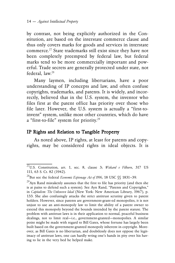by contrast, not being explicitly authorized in the Constitution, are based on the interstate commerce clause and thus only covers marks for goods and services in interstate commerce.<sup>27</sup> State trademarks still exist since they have not been completely preempted by federal law, but federal marks tend to be more commercially important and powerful. Trade secrets are generally protected under state, not federal, law.<sup>28</sup>

Many laymen, including libertarians, have a poor understanding of IP concepts and law, and often confuse copyrights, trademarks, and patents. It is widely, and incorrectly, believed that in the U.S. system, the inventor who files first at the patent office has priority over those who file later. However, the U.S. system is actually a "first-toinvent" system, unlike most other countries, which do have a "first-to-file" system for priority.<sup>29</sup>

#### IP Rights and Relation to Tangible Property

As noted above, IP rights, at least for patents and copyrights, may be considered rights in ideal objects. It is

 $27$ U.S. Constitution, art. 1, sec. 8, clause 3; *Wickard v Filburn*, 317 US 111, 63 S. Ct. 82 (1942).

<sup>28</sup>But see the federal *Economic Espionage Act of 1996*, 18 USC §§ 1831–39.

 $^{29}$ Ayn Rand mistakenly assumes that the first to file has priority (and then she is at pains to defend such a system). See Ayn Rand, "Patents and Copyrights," in *Capitalism: The Unknown Ideal* (New York: New American Library, 1967), p. 133. She also confusingly attacks the strict antitrust scrutiny given to patent holders. However, since patents are government-grant-ed monopolies, it is not unjust to use an anti-monopoly law to limit the ability of a patent owner to extend this monopoly beyond the bounds intended by the patent statute. The problem with antitrust laws is in their application to normal, peaceful business dealings, not to limit real—i.e., government-granted—monopolies. A similar point might be made with regard to Bill Gates, whose fortune has largely been built based on the government-granted monopoly inherent in copyright. Moreover, as Bill Gates is no libertarian, and doubtlessly does not oppose the legitimacy of antitrust laws, one can hardly wring one's hands in pity over his having to lie in the very bed he helped make.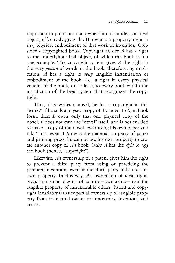important to point out that ownership of an idea, or ideal object, effectively gives the IP owners a property right in *every* physical embodiment of that work or invention. Consider a copyrighted book. Copyright holder *A* has a right to the underlying ideal object, of which the book is but one example. The copyright system gives *A* the right in the very *pattern* of words in the book; therefore, by implication, *A* has a right to *every* tangible instantiation or embodiment of the book—i.e., a right in every physical version of the book, or, at least, to every book within the jurisdiction of the legal system that recognizes the copyright.

Thus, if *A* writes a novel, he has a copyright in this "work." If he sells a physical copy of the novel to *B*, in book form, then *B* owns only that one physical copy of the novel; *B* does not own the "novel" itself, and is not entitled to make a copy of the novel, even using his own paper and ink. Thus, even if *B* owns the material property of paper and printing press, he cannot use his own property to create another copy of *A*'s book. Only *A* has the *right* to *copy* the book (hence, "copyright").

Likewise, *A*'s ownership of a patent gives him the right to prevent a third party from using or practicing the patented invention, even if the third party only uses his own property. In this way, *A*'s ownership of ideal rights gives him some degree of control—ownership—over the tangible property of innumerable others. Patent and copyright invariably transfer partial ownership of tangible property from its natural owner to innovators, inventors, and artists.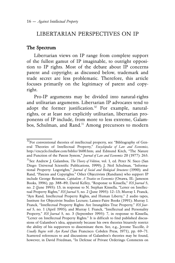#### LIBERTARIAN PERSPECTIVES ON IP

#### The Spectrum

Libertarian views on IP range from complete support of the fullest gamut of IP imaginable, to outright opposition to IP rights. Most of the debate about IP concerns patent and copyright; as discussed below, trademark and trade secret are less problematic. Therefore, this article focuses primarily on the legitimacy of patent and copyright.

Pro-IP arguments may be divided into natural-rights and utilitarian arguments. Libertarian IP advocates tend to adopt the former justification.<sup>30</sup> For example, naturalrights, or at least not explicitly utilitarian, libertarian proponents of IP include, from more to less extreme, Galambos, Schulman, and Rand.<sup>31</sup> Among precursors to modern

 $\sqrt[30]{30}$  For conventional theories of intellectual property, see "Bibliography of General Theories of Intellectual Property," *Encyclopedia of Law and Economics*, http://encyclo.findlaw.com/biblio/1600.htm; and Edmund Kitch, "The Nature and Function of the Patent System," *Journal of Law and Economics* 20 (1977): 265.

<sup>31</sup>See Andrew J. Galambos, *The Theory of Volition*, vol. 1, ed. Peter N. Sisco (San Diego: Universal Scientific Publications, 1999); J. Neil Schulman, "Informational Property: Logorights," *Journal of Social and Biological Structures* (1990); and Rand, "Patents and Copyrights." Other Objectivists (Randians) who support IP include George Reisman, *Capitalism: A Treatise on Economics* (Ottawa, Ill.: Jameson Books, 1996), pp. 388–89; David Kelley, "Response to Kinsella," *IOS Journal* 5, no. 2 (June 1995): 13, in response to N. Stephan Kinsella, "Letter on Intellectual Property Rights," *IOS Journal* 5, no. 2 (June 1995): 12–13; Murray I. Franck, "Ayn Rand, Intellectual Property Rights, and Human Liberty," 2 audio tapes, Institute for Objectivist Studies Lecture; Laissez-Faire Books (1991); Murray I. Franck, "Intellectual Property Rights: Are Intangibles True Property," *IOS Journal* 5, no. 1 (April 1995); and Murray I. Franck, "Intellectual and Personality Property," *IOS Journal* 5, no. 3 (September 1995): 7, in response to Kinsella, "Letter on Intellectual Property Rights." It is difficult to find published discussions of Galambos's idea, apparently because his own theories bizarrely restrict the ability of his supporters to disseminate them. See, e.g., Jerome Tuccille, *It Usually Begins with Ayn Rand* (San Francisco: Cobden Press, 1971), pp. 69–71. Scattered references to and discussions of Galambos's theories may be found, however, in David Friedman, "In Defense of Private Orderings: Comments on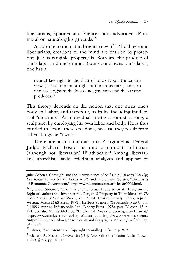libertarians, Spooner and Spencer both advocated IP on moral or natural-rights grounds.<sup>32</sup>

According to the natural-rights view of IP held by some libertarians, creations of the mind are entitled to protection just as tangible property is. Both are the product of one's labor and one's mind. Because one owns one's labor, one has a

natural law right to the fruit of one's labor. Under this view, just as one has a right to the crops one plants, so one has a right to the ideas one generates and the art one produces.<sup>33</sup>

This theory depends on the notion that one owns one's body and labor, and therefore, its fruits, including intellectual "creations." An individual creates a sonnet, a song, a sculpture, by employing his own labor and body. He is thus entitled to "own" these creations, because they result from other things he "owns."

There are also utilitarian pro-IP arguments. Federal Judge Richard Posner is one prominent utilitarian (although not libertarian) IP advocate.<sup>34</sup> Among libertarians, anarchist David Friedman analyzes and appears to

Julie Cohen's 'Copyright and the Jurisprudence of Self-Help'," *Berkeley Technology Law Journal* 13, no. 3 (Fall 1998): n. 52; and in Stephen Foerster, "The Basics of Economic Government," http://www.economic.net/articles/ar0001.html.

<sup>&</sup>lt;sup>32</sup>Lysander Spooner, "The Law of Intellectual Property: or An Essay on the Right of Authors and Inventors to a Perpetual Property in Their Ideas," in *The Collected Works of Lysander Spooner*, vol. 3, ed. Charles Shively (1855; reprint, Weston, Mass.: M&S Press, 1971); Herbert Spencer, *The Principles of Ethics*, vol. 2 (1893; reprint, Indianapolis, Ind.: Liberty Press, 1978), part IV, chap. 13, p. 121. See also Wendy McElroy, "Intellectual Property: Copyright and Patent," http://www.zetetics.com/mac/intpro1.htm and http://www.zetetics.com/mac /intpro2.htm; and Palmer, "Are Patents and Copyrights Morally Justified?" pp. 818, 825.

<sup>&</sup>lt;sup>33</sup>Palmer, "Are Patents and Copyrights Morally Justified?" p. 819.

<sup>&</sup>lt;sup>34</sup>Richard A. Posner, *Economic Analysis of Law*, 4th ed. (Boston: Little, Brown, 1992), § 3.3, pp. 38–45.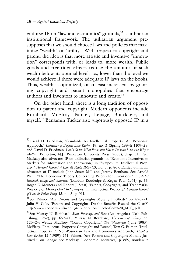endorse IP on "law-and-economics" grounds, $35$  a utilitarian institutional framework. The utilitarian argument presupposes that we should choose laws and policies that maximize "wealth" or "utility." With respect to copyright and patent, the idea is that more artistic and inventive "innovation" corresponds with, or leads to, more wealth. Public goods and free-rider effects reduce the amount of such wealth below its optimal level, i.e., lower than the level we would achieve if there were adequate IP laws on the books. Thus, wealth is optimized, or at least increased, by granting copyright and patent monopolies that encourage authors and inventors to innovate and create.<sup>36</sup>

On the other hand, there is a long tradition of opposition to patent and copyright. Modern opponents include Rothbard, McElroy, Palmer, Lepage, Bouckaert, and myself.<sup>37</sup> Benjamin Tucker also vigorously opposed IP in a

<sup>&</sup>lt;sup>35</sup>David D. Friedman, "Standards As Intellectual Property: An Economic Approach," *University of Dayton Law Review* 19, no. 3 (Spring 1994): 1109–29; and David D. Friedman, *Law's Order: What Economics Has to Do with Law and Why it Matters* (Princeton, N.J.: Princeton University Press, 2000), chap. 11. Ejan Mackaay also advocates IP on utilitarian grounds, in "Economic Incentives in Markets for Information and Innovation," in "Symposium: Intellectual Property," *Harvard Journal of Law & Public Policy* 13, no. 3, p. 867. Earlier utilitarian advocates of IP include John Stuart Mill and Jeremy Bentham. See Arnold Plant, "The Economic Theory Concerning Patents for Inventions," in *Selected Economic Essays and Addresses* (London: Routledge & Kegan Paul, 1974), p. 44; Roger E. Meiners and Robert J. Staaf, "Patents, Copyrights, and Trademarks: Property or Monopoly?" in "Symposium: Intellectual Property," *Harvard Journal of Law & Public Policy* 13, no. 3, p. 911.

<sup>&</sup>lt;sup>36</sup>See Palmer, "Are Patents and Copyrights Morally Justified?" pp. 820-21; Julio H. Cole, "Patents and Copyrights: Do the Benefits Exceed the Costs?" http://www.economia.ufm.edu.gt/Catedraticos/jhcole/Cole%20\_MPS\_.pdf

<sup>37</sup>See Murray N. Rothbard, *Man, Economy, and State* (Los Angeles: Nash Publishing, 1962), pp. 652–60; Murray N. Rothbard, *The Ethics of Liberty*, pp. 123–24; Wendy McElroy, "Contra Copyright," *The Voluntaryist* (June 1985); McElroy, "Intellectual Property: Copyright and Patent"; Tom G. Palmer, "Intellectual Property: A Non-Posnerian Law and Economics Approach," *Hamline Law Review* 12 (1989): 261; Palmer, "Are Patents and Copyrights Morally Justified?"; on Lepage, see Mackaay, "Economic Incentives," p. 869; Boudewijn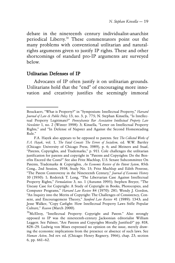debate in the nineteenth century individualist-anarchist periodical Liberty.<sup>38</sup> These commentators point out the many problems with conventional utilitarian and naturalrights arguments given to justify IP rights. These and other shortcomings of standard pro-IP arguments are surveyed below.

#### Utilitarian Defenses of IP

Advocates of IP often justify it on utilitarian grounds. Utilitarians hold that the "end" of encouraging more innovation and creativity justifies the seemingly immoral

Bouckaert, "What is Property?" in "Symposium: Intellectual Property," *Harvard Journal of Law & Public Policy* 13, no. 3, p. 775; N. Stephan Kinsella, "Is Intellectual Property Legitimate?" *Pennsylvania Bar Association Intellectual Property Law Newsletter* 1, no. 2 (Winter 1998): 3; Kinsella, "Letter on Intellectual Property Rights," and "In Defense of Napster and Against the Second Homesteading Rule."

F.A. Hayek also appears to be opposed to patents. See *The Collected Works of F.A. Hayek*, vol. 1, *The Fatal Conceit: The Errors of Socialism*, ed. W.W. Bartley (Chicago: University of Chicago Press, 1989), p. 6; and Meiners and Staaf, "Patents, Copyrights, and Trademarks," p. 911. Cole challenges the utilitarian justification for patents and copyright in "Patents and Copyrights: Do the Benefits Exceed the Costs?" See also Fritz Machlup, U.S. Senate Subcommittee On Patents, Trademarks & Copyrights, *An Economic Review of the Patent System*, 85th Cong., 2nd Session, 1958, Study No. 15; Fritz Machlup and Edith Penrose, "The Patent Controversy in the Nineteenth Century," *Journal of Economic History* 10 (1950): 1; Roderick T. Long, "The Libertarian Case Against Intellectual Property Rights," *Formulations* 3, no. 1 (Autumn 1995); Stephen Breyer, "The Uneasy Case for Copyright: A Study of Copyright in Books, Photocopies, and Computer Programs," *Harvard Law Review* 84 (1970): 281; Wendy J. Gordon, "An Inquiry into the Merits of Copyright: The Challenges of Consistency, Consent, and Encouragement Theory," *Stanford Law Review* 41 (1989): 1343; and Jesse Walker, "Copy Catfight: How Intellectual Property Laws Stifle Popular Culture," *Reason* (March 2000).

<sup>&</sup>lt;sup>38</sup>McElroy, "Intellectual Property: Copyright and Patent." Also strongly opposed to IP was the nineteenth-century Jacksonian editorialist William Leggett. See Palmer, "Are Patents and Copyrights Morally Justified?" pp. 818, 828–29. Ludwig von Mises expressed no opinion on the issue, merely drawing the economic implications from the presence or absence of such laws. See *Human Action*, 3rd rev. ed. (Chicago: Henry Regnery, 1966), chap. 23, section 6, pp. 661–62.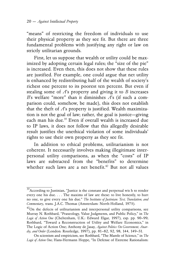"means" of restricting the freedom of individuals to use their physical property as they see fit. But there are three fundamental problems with justifying any right or law on strictly utilitarian grounds.

First, let us suppose that wealth or utility could be maximized by adopting certain legal rules; the "size of the pie" is increased. Even then, this does not show that these rules are justified. For example, one could argue that net utility is enhanced by redistributing half of the wealth of society's richest one percent to its poorest ten percent. But even if stealing some of *A*'s property and giving it to *B* increases *B*'s welfare "more" than it diminishes *A*'s (if such a comparison could, somehow, be made), this does not establish that the theft of *A*'s property is justified. Wealth maximization is not the goal of law; rather, the goal is justice—giving each man his due.<sup>39</sup> Even if overall wealth is increased due to IP laws, it does not follow that this allegedly desirable result justifies the unethical violation of some individuals' rights to use their own property as they see fit.

In addition to ethical problems, utilitarianism is not coherent. It necessarily involves making illegitimate interpersonal utility comparisons, as when the "costs" of IP laws are subtracted from the "benefits" to determine whether such laws are a net benefit.<sup>40</sup> But not all values

<sup>&</sup>lt;sup>39</sup>According to Justinian, "Justice is the constant and perpetual wis h to render every one his due. . . . The maxims of law are these: to live honestly, to hurt no one, to give every one his due." *The Institutes of Justinian: Text, Translation, and Commentary*, trans. J.A.C. Thomas (Amsterdam: North-Holland, 1975).

<sup>&</sup>lt;sup>40</sup>On the defects of utilitarianism and interpersonal utility comparisons, see Murray N. Rothbard, "Praxeology, Value Judgments, and Public Policy," in *The Logic of Action One* (Cheltenham, U.K.: Edward Elgar, 1997), esp. pp. 90–99; Rothbard, "Toward a Reconstruction of Utility and Welfare Economics," in The Logic of Action One; Anthony de Jasay, *Against Politics: On Government, Anarchy, and Order* (London: Routledge, 1997), pp. 81–82, 92, 98, 144, 149–51.

On scientism and empiricism, see Rothbard, "The Mantle of Science," in *The Logic of Action One*; Hans-Hermann Hoppe, "In Defense of Extreme Rationalism: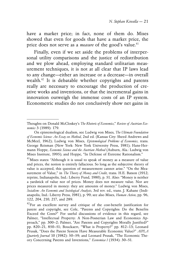have a market price; in fact, none of them do. Mises showed that even for goods that have a market price, the price does not serve as a *measure* of the good's value.<sup>41</sup>

Finally, even if we set aside the problems of interpersonal utility comparisons and the justice of redistribution and we plow ahead, employing standard utilitarian measurement techniques, it is not at all clear that IP laws lead to any change—either an increase or a decrease—in overall wealth. $42$  It is debatable whether copyrights and patents really are necessary to encourage the production of creative works and inventions, or that the incremental gains in innovation outweigh the immense costs of an IP system. Econometric studies do not conclusively show net gains in

Thoughts on Donald McCloskey's *The Rhetoric of Economics*," *Review of Austrian Economics* 3 (1989): 179.

On epistemological dualism, see Ludwig von Mises, *The Ultimate Foundation of Economic Science: An Essay on Method*, 2nd ed. (Kansas City: Sheed Andrews and McMeel, 1962); Ludwig von Mises, *Epistemological Problems of Economics*, trans. George Reisman (New York: New York University Press, 1981); Hans-Hermann Hoppe, *Economic Science and the Austrian Method* (Auburn, Ala.: Ludwig von Mises Institute, 1995); and Hoppe, "In Defense of Extreme Rationalism."

 $^{41}$ Mises states: "Although it is usual to speak of money as a measure of value and prices, the notion is entirely fallacious. So long as the subjective theory of value is accepted, this question of measurement cannot arise." "On the Measurement of Value," in *The Theory of Money and Credit*, trans. H.E. Batson (1912; reprint, Indianapolis, Ind.: Liberty Fund, 1980), p. 51. Also: "Money is neither a yardstick of value nor of prices. Money does not measure value. Nor are prices measured in money: they are amounts of money." Ludwig von Mises, *Socialism: An Economic and Sociological Analysis*, 3rd rev. ed., trans. J. Kahane (Indianapolis, Ind.: Liberty Press, 1981), p. 99; see also Mises, *Human Action*, pp. 96, 122, 204, 210, 217, and 289.

 $42$ For an excellent survey and critique of the cost-benefit justification for patent and copyright, see Cole, "Patents and Copyrights: Do the Benefits Exceed the Costs?" For useful discussions of evidence in this regard, see Palmer, "Intellectual Property: A Non-Posnerian Law and Economics Approach," pp. 300–2; Palmer, "Are Patents and Copyrights Morally Justified?" pp. 820–21, 850–51; Bouckaert, "What is Property?" pp. 812–13; Leonard Prusak, "Does the Patent System Have Measurable Economic Value?" *AIPLA Quarterly Journal* 10 (1982): 50–59; and Leonard Prusak, "The Economic Theory Concerning Patents and Inventions," *Economica 1* (1934): 30–51.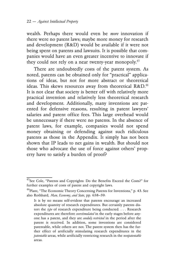wealth. Perhaps there would even be *more* innovation if there were no patent laws; maybe more money for research and development (R&D) would be available if it were not being spent on patents and lawsuits. It is possible that companies would have an even greater incentive to innovate if they could not rely on a near twenty-year monopoly.<sup>43</sup>

There are undoubtedly costs of the patent system. As noted, patents can be obtained only for "practical" applications of ideas, but not for more abstract or theoretical ideas. This skews resources away from theoretical R&D.<sup>44</sup> It is not clear that society is better off with relatively more practical invention and relatively less theoretical research and development. Additionally, many inventions are patented for defensive reasons, resulting in patent lawyers' salaries and patent office fees. This large overhead would be unnecessary if there were no patents. In the absence of patent laws, for example, companies would not spend money obtaining or defending against such ridiculous patents as those in the Appendix. It simply has not been shown that IP leads to net gains in wealth. But should not those who advocate the use of force against others' property have to satisfy a burden of proof?

<sup>43</sup>See Cole, "Patents and Copyrights: Do the Benefits Exceed the Costs?" for further examples of costs of patent and copyright laws.

<sup>&</sup>lt;sup>44</sup>Plant, "The Economic Theory Concerning Patents for Inventions," p. 43. See also Rothbard, *Man, Economy, and State*, pp. 658–59:

It is by no means self-evident that patents encourage an increased absolute quantity of research expenditures. But certainly patents distort the *type* of research expenditure being conducted. . . . Research expenditures are therefore *overstimulated* in the early stages before anyone has a patent, and they are *unduly restricted* in the period after the patent is received. In addition, some inventions are considered patentable, while others are not. The patent system then has the further effect of artificially stimulating research expenditures in the *patentable* areas, while artificially restricting research in the *nonpatentable* areas.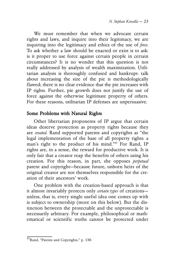We must remember that when we advocate certain rights and laws, and inquire into their legitimacy, we are inquiring into the legitimacy and ethics of the use of *force*. To ask whether a law should be enacted or exist is to ask: is it proper to use force against certain people in certain circumstances? It is no wonder that this question is not really addressed by analysis of wealth maximization. Utilitarian analysis is thoroughly confused and bankrupt: talk about increasing the size of the pie is methodologically flawed; there is no clear evidence that the pie increases with IP rights. Further, pie growth does not justify the use of force against the otherwise legitimate property of others. For these reasons, utilitarian IP defenses are unpersuasive.

#### Some Problems with Natural Rights

Other libertarian proponents of IP argue that certain ideas deserve protection as property rights because they are *created*. Rand supported patents and copyrights as "the legal implementation of the base of all property rights: a man's right to the product of his mind."<sup>45</sup> For Rand, IP rights are, in a sense, the reward for productive work. It is only fair that a creator reap the benefits of others using his creation. For this reason, in part, she opposes *perpetual* patent and copyright—because future, unborn heirs of the original creator are not themselves responsible for the creation of their ancestors' work.

One problem with the creation-based approach is that it almost invariably protects only *certain types* of creations unless, that is, every single useful idea one comes up with is subject to ownership (more on this below). But the distinction between the protectable and the unprotectable is necessarily arbitrary. For example, philosophical or mathematical or scientific truths cannot be protected under

<sup>&</sup>lt;sup>45</sup>Rand, "Patents and Copyrights," p. 130.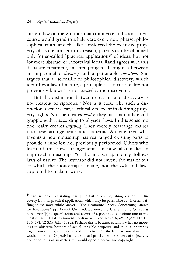current law on the grounds that commerce and social intercourse would grind to a halt were every new phrase, philosophical truth, and the like considered the exclusive property of its creator. For this reason, patents can be obtained only for so-called "practical applications" of ideas, but not for more abstract or theoretical ideas. Rand agrees with this disparate treatment, in attempting to distinguish between an unpatentable *discovery* and a patentable *invention*. She argues that a "scientific or philosophical discovery, which identifies a law of nature, a principle or a fact of reality not previously known" is not *created* by the discoverer.

But the distinction between creation and discovery is not clearcut or rigorous.<sup>46</sup> Nor is it clear why such a distinction, even if clear, is ethically relevant in defining property rights. No one creates *matter*; they just manipulate and grapple with it according to physical laws. In this sense, no one really creates *anything*. They merely rearrange matter into new arrangements and patterns. An engineer who invents a new mousetrap has rearranged existing parts to provide a function not previously performed. Others who learn of this new arrangement can now also make an improved mousetrap. Yet the mousetrap merely follows laws of nature. The inventor did not invent the matter out of which the mousetrap is made, nor the *facts* and laws exploited to make it work.

 $^{46}$ Plant is correct in stating that "[t]he task of distinguishing a scientific discovery from its practical application, which may be patentable . . . is often baffling to the most subtle lawyer." "The Economic Theory Concerning Patents for Inventions," pp. 49–50. On a related note, the U.S. Supreme Court has noted that "[t]he specification and claims of a patent . . . constitute one of the most difficult legal instruments to draw with accuracy." *Topliff v Topliff*, 145 US 156, 171, 12 S.Ct. 825 (1892). Perhaps this is because patent law has no moorings to objective borders of actual, tangible property, and thus is inherently vague, amorphous, ambiguous, and subjective. For the latter reason alone, one would think that Objectivists—ardent, self-proclaimed defenders of objectivity and opponents of subjectivism—would oppose patent and copyright.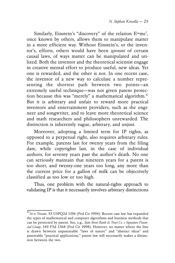Similarly, Einstein's "discovery" of the relation  $E=mc^2$ , once known by others, allows them to manipulate matter in a more efficient way. Without Einstein's, or the inventor's, efforts, others would have been *ignorant* of certain causal laws, of ways matter can be manipulated and utilized. Both the inventor and the theoretical scientist engage in creative mental effort to produce useful, new ideas. Yet one is rewarded, and the other is not. In one recent case, the inventor of a new way to calculate a number representing the shortest path between two points—an extremely useful technique—was not given patent protection because this was "merely" a mathematical algorithm.<sup>47</sup> But it is arbitrary and unfair to reward more practical inventors and entertainment providers, such as the engineer and songwriter, and to leave more theoretical science and math researchers and philosophers unrewarded. The distinction is inherently vague, arbitrary, and unjust.

Moreover, adopting a limited term for IP rights, as opposed to a perpetual right, also requires arbitrary rules. For example, patents last for twenty years from the filing date, while copyrights last, in the case of individual authors, for seventy years past the author's death. No one can seriously maintain that nineteen years for a patent is too short, and twenty-one years too long, any more than the current price for a gallon of milk can be objectively classified as too low or too high.

Thus, one problem with the natural-rights approach to validating IP is that it necessarily involves arbitrary distinctions

<sup>47</sup>*In re Trovato*, 33 USPQ2d 1194 (Fed Cir 1994). Recent case law has expanded the types of mathematical and computer algorithms and business methods that can be protected by patent. See, e.g., *State Street Bank & Trust Co. v Signature Financial Group*, 149 F3d 1368 (Fed Cir 1998). However, no matter where the line is drawn between unpatentable "laws of nature" and "abstract ideas" and patentable "practical applications," patent law still necessarily makes a distinction between the two.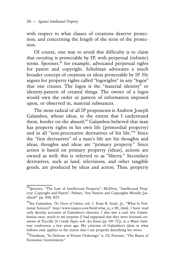with respect to what classes of creations deserve protection, and concerning the length of the term of the protection.

Of course, one way to avoid this difficulty is to claim that *everything* is protectable by IP, with perpetual (infinite) terms. Spooner, $48$  for example, advocated perpetual rights for patent and copyright. Schulman advocates a much broader concept of creations or ideas protectable by IP. He argues for property rights called "logorights" in any "logos" that one creates. The logos is the "material identity" or identity-pattern of created things. The owner of a logos would own the order or pattern of information imposed upon, or observed in, material substances.

The most radical of all IP proponents is Andrew Joseph Galambos, whose ideas, to the extent that I understand them, border on the absurd.<sup>49</sup> Galambos believed that man has property rights in his own life (primordial property) and in all "non-procreative derivatives of his life."<sup>50</sup> Since the "first derivatives" of a man's life are his thoughts and ideas, thoughts and ideas are "primary property." Since action is based on primary property (ideas), actions are owned as well; this is referred to as "liberty." Secondary derivatives, such as land, televisions, and other tangible goods, are produced by ideas and action. Thus, property

<sup>48</sup>Spooner, "The Law of Intellectual Property"; McElroy, "Intellectual Property: Copyright and Patent"; Palmer, "Are Patents and Copyrights Morally Justified?" pp. 818, 825.

<sup>&</sup>lt;sup>49</sup>See Galambos, *The Theory of Volition*, vol. 1. Evan R. Soulé, Jr., "What Is Volitional Science?" http://www.tuspco.com/html/what\_is\_v-50\_.html. I have read only sketchy accounts of Galambos's theories. I also met a real, live Galambosian once, much to my surprise (I had supposed that they were fictional creations of Tuccille [*It Usually Begins with Ayn Rand*, pp. 69–71]), at a Mises Institute conference a few years ago. My criticism of Galambos's ideas in what follows only applies to the extent that I am properly describing his views.

<sup>&</sup>lt;sup>50</sup>Friedman, "In Defense of Private Orderings," n. 52; Foerster, "The Basics of Economic Government."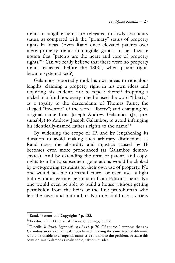rights in tangible items are relegated to lowly secondary status, as compared with the "primary" status of property rights in ideas. (Even Rand once elevated patents over mere property rights in tangible goods, in her bizarre notion that "patents are the heart and core of property rights."<sup>51</sup> Can we really believe that there were no property rights respected before the 1800s, when patent rights became systematized?)

Galambos reportedly took his own ideas to ridiculous lengths, claiming a property right in his own ideas and requiring his students not to repeat them; $52$  dropping a nickel in a fund box every time he used the word "liberty," as a royalty to the descendants of Thomas Paine, the alleged "inventor" of the word "liberty"; and changing his original name from Joseph Andrew Galambos (Jr., presumably) to Andrew Joseph Galambos, to avoid infringing his identically-named father's rights to the name.<sup>53</sup>

By widening the scope of IP, and by lengthening its duration to avoid making such arbitrary distinctions as Rand does, the absurdity and injustice caused by IP becomes even more pronounced (as Galambos demonstrates). And by extending the term of patents and copyrights to infinity, subsequent generations would be choked by ever-growing restraints on their own use of property. No one would be able to manufacture—or even use—a light bulb without getting permission from Edison's heirs. No one would even be able to build a house without getting permission from the heirs of the first protohuman who left the caves and built a hut. No one could use a variety

 $\frac{51}{18}$ Rand, "Patents and Copyrights," p. 133.

<sup>52</sup>Friedman, "In Defense of Private Orderings," n. 52.

<sup>53</sup>Tuccille, *It Usually Begins with Ayn Rand*, p. 70. Of course, I suppose that any Galambosian other than Galambos himself, having the same type of dilemma, would be unable to change his name as a solution to the problem, because this solution was Galambos's inalienable, "absolute" idea.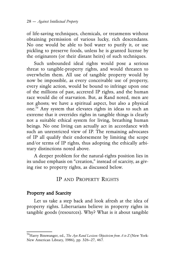of life-saving techniques, chemicals, or treatments without obtaining permission of various lucky, rich descendants. No one would be able to boil water to purify it, or use pickling to preserve foods, unless he is granted license by the originators (or their distant heirs) of such techniques.

Such unbounded ideal rights would pose a serious threat to tangible-property rights, and would threaten to overwhelm them. All use of tangible property would by now be impossible, as every conceivable use of property, every single action, would be bound to infringe upon one of the millions of past, accreted IP rights, and the human race would die of starvation. But, as Rand noted, men are not ghosts; we have a spiritual aspect, but also a physical one.<sup>54</sup> Any system that elevates rights in ideas to such an extreme that it overrides rights in tangible things is clearly not a suitable ethical system for living, breathing human beings. No one living can actually act in accordance with such an unrestricted view of IP. The remaining advocates of IP all qualify their endorsement by limiting the scope and/or terms of IP rights, thus adopting the ethically arbitrary distinctions noted above.

A deeper problem for the natural-rights position lies in its undue emphasis on "creation," instead of scarcity, as giving rise to property rights, as discussed below.

## IP AND PROPERTY RIGHTS

#### Property and Scarcity

Let us take a step back and look afresh at the idea of property rights. Libertarians believe in property rights in tangible goods (resources). Why? What is it about tangible

<sup>54</sup>Harry Binswanger, ed., *The Ayn Rand Lexicon: Objectivism from A to Z* (New York: New American Library, 1986), pp. 326–27, 467.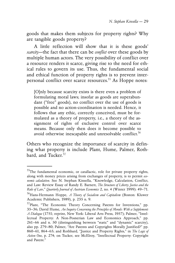goods that makes them subjects for property rights? Why are tangible goods property?

A little reflection will show that it is these goods' *scarcity*—the fact that there can be *conflict* over these goods by multiple human actors. The very possibility of conflict over a resource renders it scarce, giving rise to the need for ethical rules to govern its use. Thus, the fundamental social and ethical function of property rights is to prevent interpersonal conflict over scarce resources.<sup>55</sup> As Hoppe notes:

[O]nly because scarcity exists is there even a problem of formulating moral laws; insofar as goods are superabundant ("free" goods), no conflict over the use of goods is possible and no action-coordination is needed. Hence, it follows that any ethic, correctly conceived, must be formulated as a theory of property, i.e., a theory of the assignment of rights of exclusive control over scarce means. Because only then does it become possible to avoid otherwise inescapable and unresolvable conflict.<sup>56</sup>

Others who recognize the importance of scarcity in defining what property is include Plant, Hume, Palmer, Rothbard, and Tucker.<sup>57</sup>

<sup>&</sup>lt;sup>55</sup>The fundamental economic, or catallactic, role for private property rights, along with money prices arising from exchanges of property, is to permit *economic calculation*. See N. Stephan Kinsella, "Knowledge, Calculation, Conflict, and Law: Review Essay of Randy E. Barnett, *The Structure of Liberty: Justice and the Rule of Law*," *Quarterly Journal of Austrian Economics* 2, no. 4 (Winter 1999): 49–71.

<sup>56</sup>Hans-Hermann Hoppe, *A Theory of Socialism and Capitalism* (Boston: Kluwer Academic Publishers, 1989), p. 235 n. 9.

<sup>&</sup>lt;sup>57</sup>Plant, "The Economic Theory Concerning Patents for Inventions," pp. 35–36; David Hume, *An Inquiry Concerning the Principles of Morals: With a Supplement: A Dialogue* (1751; reprint, New York: Liberal Arts Press, 1957); Palmer, "Intellectual Property: A Non-Posnerian Law and Economics Approach," pp. 261–66 and n. 50 (distinguishing between "static" and "dynamic" scarcity), also pp. 279–80; Palmer, "Are Patents and Copyrights Morally Justified?" pp. 860–61, 864–65; and Rothbard, "Justice and Property Rights," in *The Logic of Action One*, p. 274; on Tucker, see McElroy, "Intellectual Property: Copyright and Patent."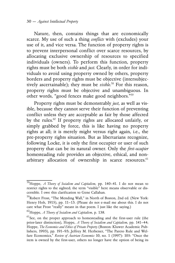Nature, then, contains things that are economically scarce. My use of such a thing *conflicts* with (excludes) your use of it, and vice versa. The function of property rights is to prevent interpersonal conflict over scarce resources, by allocating exclusive ownership of resources to specified individuals (owners). To perform this function, property rights must be both *visible* and *just*. Clearly, in order for individuals to avoid using property owned by others, property borders and property rights must be objective (intersubjectively ascertainable); they must be *visible*. <sup>58</sup> For this reason, property rights must be objective and unambiguous. In other words, "good fences make good neighbors."<sup>59</sup>

Property rights must be demonstrably *just*, as well as visible, because they cannot serve their function of preventing conflict unless they are acceptable as fair by those affected by the rules.<sup>60</sup> If property rights are allocated unfairly, or simply grabbed by force, this is like having no property rights at all; it is merely might versus right again, i.e., the pre-property rights situation. But as libertarians recognize, following Locke, it is only the first occupier or user of such property that can be its natural owner. Only the *first-occupier* homesteading rule provides an objective, ethical, and nonarbitrary allocation of ownership in scarce resources.<sup>61</sup>

<sup>58</sup>Hoppe, *A Theory of Socialism and Capitalism*, pp. 140–41. I do not mean to restrict rights to the sighted; the term "visible" here means observable or discernible. I owe this clarification to Gene Callahan.

<sup>59</sup>Robert Frost, "The Mending Wall," in North of Boston, 2nd ed. (New York: Henry Holt, 1915), pp. 11–13. (Please do not e-mail me about this. I do not care what Frost "really" meant in that poem. I just like the saying.)

<sup>60</sup>Hoppe, *A Theory of Socialism and Capitalism*, p. 138.

 $61$ See, on the proper approach to homesteading and the first-user rule (the prior-later distinction), Hoppe, *A Theory of Socialism and Capitalism*, pp. 141–44; Hoppe, *The Economics and Ethics of Private Property* (Boston: Kluwer Academic Publishers, 1993), pp. 191–93; Jeffrey M. Herbener, "The Pareto Rule and Welfare Economics," *Review of Austrian Economics* 10, no. 1 (1997): 105: "Once the item is owned by the first-user, others no longer have the option of being its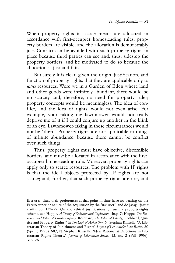When property rights in scarce means are allocated in accordance with first-occupier homesteading rules, property borders are visible, and the allocation is demonstrably just. Conflict can be avoided with such property rights in place because third parties can see and, thus, sidestep the property borders, and be motivated to do so because the allocation is just and fair.

But surely it is clear, given the origin, justification, and function of property rights, that they are applicable only to *scarce* resources. Were we in a Garden of Eden where land and other goods were infinitely abundant, there would be no scarcity and, therefore, no need for property rules; property concepts would be meaningless. The idea of conflict, and the idea of rights, would not even arise. For example, your taking my lawnmower would not really deprive me of it if I could conjure up another in the blink of an eye. Lawnmower-taking in these circumstances would not be "theft." Property rights are not applicable to things of infinite abundance, because there cannot be conflict over such things.

Thus, property rights must have objective, discernible borders, and must be allocated in accordance with the firstoccupier homesteading rule. Moreover, property rights can apply only to scarce resources. The problem with IP rights is that the ideal objects protected by IP rights are not scarce; and, further, that such property rights are not, and

first-user; thus, their preferences at that point in time have no bearing on the Pareto-superior nature of the acquisition by the first-user"; and de Jasay, *Against Politics*, pp. 172–79. On the ethical justifications of such a property-rights scheme, see Hoppe, *A Theory of Socialism and Capitalism*, chap. 7; Hoppe, *The Economics and Ethics of Private Property*; Rothbard, *The Ethics of Liberty*; Rothbard, "Justice and Property Rights," in *The Logic of Action One*; N. Stephan Kinsella, "A Libertarian Theory of Punishment and Rights" *Loyola of Los Angeles Law Review* 30 (Spring 1996): 607; N. Stephan Kinsella, "New Rationalist Directions in Libertarian Rights Theory," *Journal of Libertarian Studies* 12, no. 2 (Fall 1996): 313–26.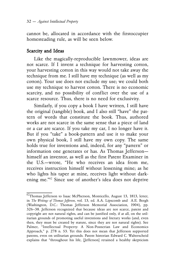cannot be, allocated in accordance with the firstoccupier homesteading rule, as will be seen below.

#### Scarcity and Ideas

Like the magically-reproducible lawnmower, ideas are not scarce. If I invent a technique for harvesting cotton, your harvesting cotton in this way would not take away the technique from me. I still have my technique (as well as my cotton). Your use does not exclude my use; we could both use my technique to harvest cotton. There is no economic scarcity, and no possibility of conflict over the use of a scarce resource. Thus, there is no need for exclusivity.

Similarly, if you copy a book I have written, I still have the original (tangible) book, and I also still "have" the pattern of words that constitute the book. Thus, authored works are not scarce in the same sense that a piece of land or a car are scarce. If you take my car, I no longer have it. But if you "take" a book-pattern and use it to make your own physical book, I still have my own copy. The same holds true for inventions and, indeed, for any "pattern" or information one generates or has. As Thomas Jefferson himself an inventor, as well as the first Patent Examiner in the U.S.—wrote, "He who receives an idea from me, receives instruction himself without lessening mine; as he who lights his taper at mine, receives light without darkening me."<sup>62</sup> Since use of another's idea does not deprive

 $^{62}$ Thomas Jefferson to Isaac McPherson, Monticello, August 13, 1813, letter, in *The Writings of Thomas Jefferson*, vol. 13, ed. A.A. Lipscomb and A.E. Bergh (Washington, D.C.: Thomas Jefferson Memorial Association, 1904), pp. 326–38. Jefferson recognized that because ideas are not scarce, patent and copyright are not natural rights, and can be justified only, if at all, on the utilitarian grounds of promoting useful inventions and literary works (and, even then, they must be created by statute, since they are not natural rights). See Palmer, "Intellectual Property: A Non-Posnerian Law and Economics Approach," p. 278 n. 53. Yet this does not mean that Jefferson supported patents, even on utilitarian grounds. Patent historian Edward C. Walterscheid explains that "throughout his life, [Jefferson] retained a healthy skepticism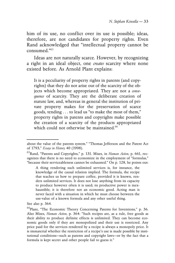him of its use, no conflict over its use is possible; ideas, therefore, are not candidates for property rights. Even Rand acknowledged that "intellectual property cannot be  $constant$ <sup>"63</sup>

Ideas are not naturally scarce. However, by recognizing a right in an ideal object, one *creates* scarcity where none existed before. As Arnold Plant explains:

It is a peculiarity of property rights in patents (and copyrights) that they do not arise out of the scarcity of the objects which become appropriated. They are not a *consequence* of scarcity. They are the deliberate creation of statute law, and, whereas in general the institution of private property makes for the preservation of scarce goods, tending . . . to lead us "to make the most of them," property rights in patents and copyrights make possible the creation of a scarcity of the products appropriated which could not otherwise be maintained.<sup>64</sup>

A thing rendering such unlimited services is, for instance, the knowledge of the causal relation implied. The formula, the recipe that teaches us how to prepare coffee, provided it is known, renders unlimited services. It does not lose anything from its capacity to produce however often it is used; its productive power is inexhaustible; it is therefore not an economic good. Acting man is never faced with a situation in which he must choose between the use-value of a known formula and any other useful thing.

See also p. 364.

about the value of the patents system." "Thomas Jefferson and the Patent Act of 1793," *Essays in History* 40 (1998).

<sup>63</sup>Rand, "Patents and Copyrights," p. 131. Mises, in *Human Action*, p. 661, recognizes that there is no need to economize in the employment of "formulas," "because their serviceableness cannot be exhausted." On p. 128, he points out:

<sup>64</sup>Plant, "The Economic Theory Concerning Patents for Inventions," p. 36. Also Mises, *Human Action*, p. 364: "Such recipes are, as a rule, free goods as their ability to produce definite effects is unlimited. They can become economic goods only if they are monopolized and their use is restricted. Any price paid for the services rendered by a recipe is always a monopoly price. It is immaterial whether the restriction of a recipe's use is made possible by institutional conditions—such as patents and copyright laws—or by the fact that a formula is kept secret and other people fail to guess it."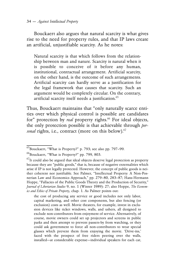Bouckaert also argues that natural scarcity is what gives rise to the need for property rules, and that IP laws create an artificial, unjustifiable scarcity. As he notes:

Natural scarcity is that which follows from the relationship between man and nature. Scarcity is natural when it is possible to conceive of it before any human, institutional, contractual arrangement. Artificial scarcity, on the other hand, is the outcome of such arrangements. Artificial scarcity can hardly serve as a justification for the legal framework that causes that scarcity. Such an argument would be completely circular. On the contrary, artificial scarcity itself needs a justification.<sup>65</sup>

Thus, Bouckaert maintains that "only naturally scarce entities over which physical control is possible are candidates for" protection by *real* property rights.<sup>66</sup> For ideal objects, the only protection possible is that achievable through *per*sonal rights, i.e., contract (more on this below).<sup>67</sup>

the cost of producing any service or good includes not only labor, capital marketing, and other cost components, but also fencing (or exclusion) costs as well. Movie theaters, for example, invest in exclusion devices like ticket windows, walls, and ushers, all designed to exclude non-contributors from enjoyment of service. Alternatively, of course, movie owners could set up projectors and screens in public parks and then attempt to prevent passers-by from watching, or they could ask government to force all non-contributors to wear special glasses which prevent them from enjoying the movie. 'Drive-ins,' faced with the prospect of free riders peering over the walls, installed—at considerable expense—individual speakers for each car,

 $\overline{{}^{65}$ Bouckaert, "What is Property?" p. 793; see also pp. 797–99.

<sup>66</sup>Bouckaert, "What is Property?" pp. 799, 803.

 $67$ It could also be argued that ideal objects deserve legal protection as property because they are "public goods," that is, because of negative externalities which arise if IP is not legally protected. However, the concept of public goods is neither coherent nor justifiable. See Palmer, "Intellectual Property: A Non-Posnerian Law and Economics Approach," pp. 279–80, 283–87; Hans-Hermann Hoppe, "Fallacies of the Public Goods Theory and the Production of Security," *Journal of Libertarian Studies* 9, no. 1 (Winter 1989): 27; also Hoppe, *The Economics and Ethics of Private Property*, chap. 1. As Palmer points out: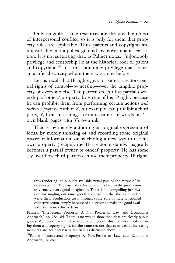Only tangible, scarce resources are the possible object of interpersonal conflict, so it is only for them that property rules are applicable. Thus, patents and copyrights are unjustifiable monopolies granted by government legislation. It is not surprising that, as Palmer notes, "[m]onopoly privilege and censorship lie at the historical root of patent and copyright."<sup>68</sup> It is this monopoly privilege that creates an artificial scarcity where there was none before.

Let us recall that IP rights give to pattern-creators partial rights of control—ownership—over the tangible property of everyone else. The pattern-creator has partial ownership of others' property, by virtue of his IP right, because he can prohibit them from performing certain actions *with their own property*. Author *X*, for example, can prohibit a third party, *Y*, from inscribing a certain pattern of words on *Y*'s own blank pages with *Y*'s own ink.

That is, by merely authoring an original expression of ideas, by merely thinking of and recording some original *pattern* of information, or by finding a new way to use his own property (recipe), the IP creator instantly, magically becomes a partial owner of others' property. He has some say over how third parties can use their property. IP rights

thus rendering the publicly available visual part of the movie of little interest. . . . The costs of exclusion are involved in the production of virtually every good imaginable. There is no compelling justification for singling out some goods and insisting that the state underwrite their production costs through some sort of state-sanctioned collective action, simply because of a decision to make the good available on a nonexclusive basis.

Palmer, "Intellectual Property: A Non-Posnerian Law and Economics Approach," pp. 284–85. There is no way to show that ideas are clearly public goods. Moreover, even if ideas were public goods, this does not justify treating them as property rights, for the same reasons that even wealth-increasing measures are not necessarily justified, as discussed above.

<sup>68</sup>Palmer, "Intellectual Property: A Non-Posnerian Law and Economics Approach," p. 264.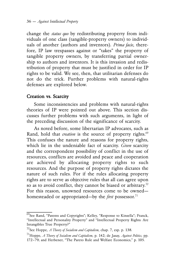change the *status quo* by redistributing property from individuals of one class (tangible-property owners) to individuals of another (authors and inventors). *Prima facie*, therefore, IP law trespasses against or "takes" the property of tangible property owners, by transferring partial ownership to authors and inventors. It is this invasion and redistribution of property that must be justified in order for IP rights to be valid. We see, then, that utilitarian defenses do not do the trick. Further problems with natural-rights defenses are explored below.

### Creation vs. Scarcity

Some inconsistencies and problems with natural-rights theories of IP were pointed out above. This section discusses further problems with such arguments, in light of the preceding discussion of the significance of scarcity.

As noted before, some libertarian IP advocates, such as Rand, hold that *creation* is the source of property rights.<sup>69</sup> This confuses the nature and reasons for property rights, which lie in the undeniable fact of scarcity. *Given* scarcity and the correspondent possibility of conflict in the use of resources, conflicts are avoided and peace and cooperation are achieved by allocating property rights to such resources. And the purpose of property rights dictates the nature of such rules. For if the rules allocating property rights are to serve as objective rules that all can agree upon so as to avoid conflict, they cannot be biased or arbitrary.<sup>70</sup> For this reason, unowned resources come to be owned homesteaded or appropriated—by the *first* possessor.<sup>71</sup>

<sup>&</sup>lt;sup>69</sup>See Rand, "Patents and Copyrights"; Kelley, "Response to Kinsella"; Franck, "Intellectual and Personality Property" and "Intellectual Property Rights: Are Intangibles True Property?"

<sup>70</sup>See Hoppe, *A Theory of Socialism and Capitalism*, chap. 7, esp. p. 138.

<sup>71</sup>Hoppe, *A Theory of Socialism and Capitalism*, p. 142; de Jasay, *Against Politics*, pp. 172–79; and Herbener, "The Pareto Rule and Welfare Economics," p. 105.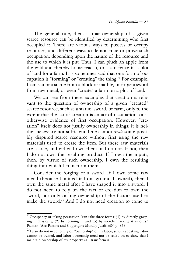The general rule, then, is that ownership of a given scarce resource can be identified by determining who first occupied it. There are various ways to possess or occupy resources, and different ways to demonstrate or prove such occupation, depending upon the nature of the resource and the use to which it is put. Thus, I can pluck an apple from the wild and thereby homestead it, or I can fence in a plot of land for a farm. It is sometimes said that one form of occupation is "forming" or "creating" the thing.<sup>72</sup> For example, I can sculpt a statue from a block of marble, or forge a sword from raw metal, or even "create" a farm on a plot of land.

We can see from these examples that creation is relevant to the question of ownership of a given "created" scarce resource, such as a statue, sword, or farm, only to the extent that the act of creation is an act of occupation, or is otherwise evidence of first occupation. However, "creation" itself does not justify ownership in things; it is neither necessary nor sufficient. One cannot *create* some possibly disputed scarce resource without first using the raw materials used to create the item. But these raw materials are scarce, and either I own them or I do not. If not, then I do not own the resulting product. If I own the inputs, then, by virtue of such ownership, I own the resulting thing into which I transform them.

Consider the forging of a sword. If I own some raw metal (because I mined it from ground I owned), then I own the same metal after I have shaped it into a sword. I do not need to rely on the fact of creation to own the sword, but only on my ownership of the factors used to make the sword.<sup>73</sup> And I do not need creation to come to

 $^{72}$ Occupancy or taking possession "can take three forms: (1) by directly grasping it physically, (2) by forming it, and (3) by merely marking it as ours." Palmer, "Are Patents and Copyrights Morally Justified?" p. 838.

 $^{73}$ I also do not need to rely on "ownership" of my labor; strictly speaking, labor cannot be owned, and labor ownership need not be relied on to show that I maintain ownership of my property as I transform it.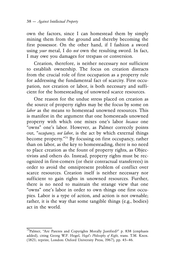own the factors, since I can homestead them by simply mining them from the ground and thereby becoming the first possessor. On the other hand, if I fashion a sword using *your* metal, I do *not* own the resulting sword. In fact, I may owe you damages for trespass or conversion.

Creation, therefore, is neither necessary nor sufficient to establish ownership. The focus on creation distracts from the crucial role of first occupation as a property rule for addressing the fundamental fact of scarcity. First occupation, not creation or labor, is both necessary and sufficient for the homesteading of unowned scarce resources.

One reason for the undue stress placed on creation as the source of property rights may be the focus by some on *labor* as the means to homestead unowned resources. This is manifest in the argument that one homesteads unowned property with which one mixes one's labor *because* one "owns" one's labor. However, as Palmer correctly points out, "*occupancy, not labor*, is the act by which external things become property."<sup>74</sup> By focusing on first occupancy, rather than on labor, as the key to homesteading, there is no need to place creation as the fount of property rights, as Objectivists and others do. Instead, property rights must be recognized in first-comers (or their contractual transferees) in order to avoid the omnipresent problem of conflict over scarce resources. Creation itself is neither necessary nor sufficient to gain rights in unowned resources. Further, there is no need to maintain the strange view that one "owns" one's labor in order to own things one first occupies. Labor is a type of action, and action is not ownable; rather, it is the way that some tangible things (e.g., bodies) act in the world.

<sup>&</sup>lt;sup>74</sup>Palmer, "Are Patents and Copyrights Morally Justified?" p. 838 (emphasis added), citing Georg W.F. Hegel, *Hegel's Philosophy of Right*, trans. T.M. Knox. (1821; reprint, London: Oxford University Press, 1967), pp. 45–46.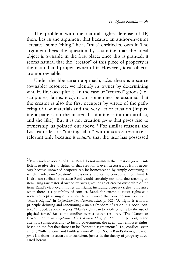The problem with the natural rights defense of IP, then, lies in the argument that because an author-inventor "creates" some "thing," he is "thus" entitled to own it. The argument begs the question by assuming that the ideal object is ownable in the first place; once this is granted, it seems natural that the "creator" of this piece of property is the natural and proper owner of it. However, ideal objects are not ownable.

Under the libertarian approach, *when* there is a scarce (ownable) resource, we identify its owner by determining who its first occupier is. In the case of "created" goods (i.e., sculptures, farms, etc.), it can sometimes be assumed that the creator is also the first occupier by virtue of the gathering of raw materials and the very act of creation (imposing a pattern on the matter, fashioning it into an artifact, and the like). But it is not creation *per se* that gives rise to ownership, as pointed out above.<sup>75</sup> For similar reasons, the Lockean idea of "mixing labor" with a scarce resource is relevant only because it *indicates* that the user has possessed

<sup>75</sup>Even such advocates of IP as Rand do not maintain that creation *per se* is sufficient to give rise to rights, or that creation is even necessary. It is not necessary because unowned property can be homesteaded by simply occupying it, which involves no "creation" unless one stretches the concept without limit. It is also not sufficient, because Rand would certainly not hold that creating an item using raw material owned by *others* gives the thief-creator ownership of the item. Rand's view even implies that rights, including property rights, only arise when there is a possibility of conflict. Rand, for example, views rights as a social concept arising only when there is more than one person. See Rand, "Man's Rights," in *Capitalism: The Unknown Ideal*, p. 321: "A 'right' is a moral principle defining and sanctioning a man's freedom of action in a social context." Indeed, as Rand argues, "Man's rights can be violated only by the use of physical force," i.e., some conflict over a scarce resource. "The Nature of Government," in *Capitalism: The Unknown Ideal*, p. 330. On p. 334, Rand attempts (unsuccessfully) to justify government, the agent that enforces rights, based on the fact that there can be "honest disagreements"—i.e., conflict—even among "fully rational and faultlessly moral" men. So, in Rand's theory, creation *per se* is neither necessary nor sufficient, just as in the theory of property advocated herein.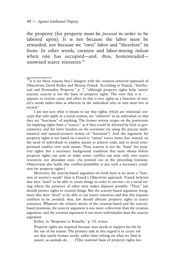the property (for property must be *possessed* in order to be labored upon). It is not because the labor must be rewarded, nor because we "own" labor and "therefore" its fruits. In other words, creation and labor-mixing *indicate* when one has occupied—and, thus, homesteaded unowned scarce resources.<sup>76</sup>

I am not sure what it means to say that rights, which are relational concepts that only apply in a social context, are "inherent" in an individual, or that they are "functions" of anything. The former notion verges on the positivistic (in implying rights have a "source," as if they could be decreed by God or government), and the latter borders on the scientistic (in using the precise mathematical and natural-sciences notion of "functions"). And the argument for property rights is not based on a need to "ration" scarce items, but, instead, on the need of individuals to employ means to achieve ends, and to avoid interpersonal conflict over such means. Thus, scarcity is not the "basis" for property rights, but a necessary background condition that must obtain before property rights can arise or make sense; conflict can arise only over scarce resources, not abundant ones. (As pointed out in the preceding footnote, Objectivism also holds that conflict-possibility is just such a necessary condition for property rights.)

Moreover, the scarcity-based argument set forth here is no more a "function of society's needs" than is Franck's Objectivist approach. Franck believes that men "need" to be able to create things in order to survive—in a social setting where the presence of other men makes disputes possible. "Thus," law should protect rights to created things. But the scarcity-based argument recognizes that men "need" to be able to use scarce resources and that this requires conflicts to be avoided; thus, law should allocate property rights in scarce resources. Whatever the relative merits of the creation-based and the scarcitybased positions, the scarcity argument is not more collectivist than the creation argument, and the creation argument is not more individualist than the scarcity argument.

Kelley, in "Response to Kinsella," p. 13, writes:

Property rights are required because man needs to support his life by the use of his reason. The primary task in this regard is to create values that satisfy human needs, rather than relying on what we find in nature, as animals do. . . . [T]he essential basis of property rights lies

 $^{76}$ It is for these reasons that I disagree with the creation-centered approach of Objectivists David Kelley and Murray Franck. According to Franck, "Intellectual and Personality Property," p. 7, "although property rights help 'ration' scarcity, scarcity is not the basis of property rights. The view that it is . . . appears to reverse cause and effect in that it sees rights as a function of society's needs rather than as inherent in the individual who in turn must live in society."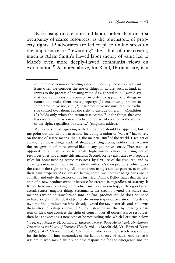By focusing on creation and labor, rather than on first occupancy of scarce resources, as the touchstone of property rights, IP advocates are led to place undue stress on the importance of "rewarding" the labor of the creator, much as Adam Smith's flawed labor theory of value led to Marx's even more deeply-flawed communist views on exploitation.<sup>77</sup> As noted above, for Rand, IP rights are, in a

My reasons for disagreeing with Kelley here should be apparent, but let me point out that all human action, including creation of "values," has to rely on the use of scarce means, that is, the material stuff of the world. Each act of creation employs things made of already existing atoms; neither this fact, nor the recognition of it, is animal-like in any pejorative sense. That men, as opposed to animals, wish to create higher-order values by using scarce resources does not change this analysis. Second, Kelley advocates two separate rules for homesteading scarce resources: by first use of the resource, and by creating a new, useful, or artistic pattern with one's own property, which gives the creator the right to stop all others from using a similar pattern, even with their own property. As discussed below, these two homesteading rules are in conflict, and only the former can be justified. Finally, Kelley states that the creator of a new product owns it because he created it, regardless of scarcity. If Kelley here means a tangible product, such as a mousetrap, such a good is an actual, scarce, tangible thing. Presumably, the creator owned the scarce raw materials which he transformed into the final product. But he does not need to have a right in the ideal object of the mousetrap-idea or pattern in order to own the final product itself; he already owned the raw materials, and still owns them after he reshapes them. If Kelley instead means that, by creating a pattern or idea, one acquires the right of control over all others' scarce resources, then he is advocating a new type of homesteading rule, which I criticize below.

<sup>77</sup>See, e.g., Murray N. Rothbard, *Economic Thought Before Adam Smith: An Austrian Perspective on the History of Economic Thought*, vol. 1 (Brookfield, Vt.: Edward Elgar, 1995), p. 453: "It was, indeed, Adam Smith who was almost solely responsible for the injection into economics of the labour theory of value. And hence it was Smith who may plausibly be held responsible for the emergence and the

in the phenomenon of creating value. . . . Scarcity becomes a relevant issue when we consider the use of things in nature, such as land, as inputs to the process of creating value. As a general rule, I would say that two conditions are required in order to appropriate things in nature and make them one's property: (1) one must put them to some productive use, and (2) that productive use must require exclusive control over them, i.e., the right to exclude others. . . . Condition (2) holds only when the resource is scarce. But for things that one has created, such as a new product, one's act of creation is the source of the right, regardless of scarcity." (emphasis added).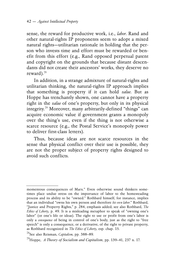sense, the reward for productive work, i.e., *labor*. Rand and other natural-rights IP proponents seem to adopt a mixed natural rights—utilitarian rationale in holding that the person who invests time and effort must be rewarded or benefit from this effort (e.g., Rand opposed perpetual patent and copyright on the grounds that because distant descendants did not create their ancestors' works, they deserve no reward).<sup>78</sup>

In addition, in a strange admixture of natural-rights and utilitarian thinking, the natural-rights IP approach implies that something is property if it can hold *value*. But as Hoppe has trenchantly shown, one cannot have a property right in the *value* of one's property, but only in its physical integrity.<sup>79</sup> Moreover, many arbitrarily-defined "things" can acquire economic value if government grants a monopoly over the thing's use, even if the thing is not otherwise a scarce resource (e.g., the Postal Service's monopoly power to deliver first-class letters).

Thus, because ideas are not scarce resources in the sense that physical conflict over their use is possible, they are not the proper subject of property rights designed to avoid such conflicts.

momentous consequences of Marx." Even otherwise sound thinkers sometimes place undue stress on the importance of labor to the homesteading process and its ability to be "owned." Rothbard himself, for instance, implies that an individual "owns his own person and therefore *his own labor*." Rothbard, "Justice and Property Rights," p. 284, emphasis added; see also Rothbard, *The Ethics of Liberty*, p. 49. It is a misleading metaphor to speak of "owning one's labor" (or one's life or ideas). The right to use or profit from one's labor is only a *consequence* of being in control of one's body, just as the right to "free speech" is only a consequence, or a derivative, of the right to private property, as Rothbard recognized in *The Ethics of Liberty*, esp. chap. 15.

<sup>78</sup>See also Reisman, *Capitalism*, pp. 388–89.

<sup>79</sup>Hoppe, *A Theory of Socialism and Capitalism*, pp. 139–41, 237 n. 17.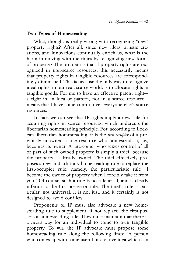### Two Types of Homesteading

What, though, is really wrong with recognizing "new" property rights? After all, since new ideas, artistic creations, and innovations continually enrich us, what is the harm in moving with the times by recognizing new forms of property? The problem is that if property rights are recognized in non-scarce resources, this necessarily means that property rights in tangible resources are correspondingly diminished. This is because the only way to recognize ideal rights, in our real, scarce world, is to allocate rights in tangible goods. For me to have an effective patent right a right in an idea or pattern, not in a scarce resource means that I have some control over everyone else's scarce resources.

In fact, we can see that IP rights imply a new rule for acquiring rights in scarce resources, which undercuts the libertarian homesteading principle. For, according to Lockean-libertarian homesteading, it is the *first occupier* of a previously unowned scarce resource who homesteads it, i.e., becomes its owner. A late-comer who seizes control of all or part of such owned property is simply a thief, because the property is already owned. The thief effectively proposes a new and arbitrary homesteading rule to replace the first-occupier rule, namely, the particularistic rule "I become the owner of property when I forcibly take it from you." Of course, such a rule is no rule at all, and is clearly inferior to the first-possessor rule. The thief's rule is particular, not universal; it is not just, and it certainly is not designed to avoid conflicts.

Proponents of IP must also advocate a new homesteading rule to supplement, if not replace, the first-possessor homesteading rule. They must maintain that there is a *second* way for an individual to come to own tangible property. To wit, the IP advocate must propose some homesteading rule along the following lines: "A person who comes up with some useful or creative idea which can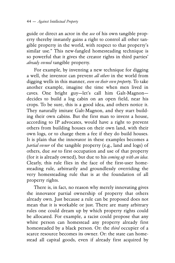guide or direct an actor in the *use* of his own tangible property thereby instantly gains a right to control all other tangible property in the world, with respect to that property's similar use." This new-fangled homesteading technique is so powerful that it gives the creator rights in third parties' *already owned* tangible property.

For example, by inventing a new technique for digging a well, the inventor can prevent *all others* in the world from digging wells in this manner, *even on their own propert*y. To take another example, imagine the time when men lived in caves. One bright guy—let's call him Galt-Magnon decides to build a log cabin on an open field, near his crops. To be sure, this is a good idea, and others notice it. They naturally imitate Galt-Magnon, and they start building their own cabins. But the first man to invent a house, according to IP advocates, would have a right to prevent others from building houses on their own land, with their own logs, or to charge them a fee if they do build houses. It is plain that the innovator in these examples becomes a *partial owner* of the tangible property (e.g., land and logs) of others, due *not* to first occupation and use of that property (for it is already owned), but due to his *coming up with an idea*. Clearly, this rule flies in the face of the first-user homesteading rule, arbitrarily and groundlessly overriding the very homesteading rule that is at the foundation of all property rights.

There is, in fact, no reason why merely innovating gives the innovator partial ownership of property that others already own. Just because a rule can be proposed does not mean that it is workable or just. There are many arbitrary rules one could dream up by which property rights could be allocated. For example, a racist could propose that any white person can homestead any property already first homesteaded by a black person. Or: the *third* occupier of a scarce resource becomes its owner. Or: the state can homestead all capital goods, even if already first acquired by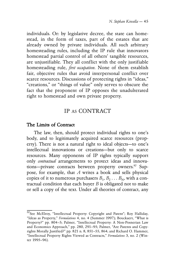individuals. Or: by legislative decree, the state can homestead, in the form of taxes, part of the estates that are already owned by private individuals. All such arbitrary homesteading rules, including the IP rule that innovators homestead partial control of all others' tangible resources, are unjustifiable. They all conflict with the only justifiable homesteading rule, *first occupation*. None of them establish fair, objective rules that avoid interpersonal conflict over scarce resources. Discussions of protecting rights in "ideas," "creations," or "things of value" only serves to obscure the fact that the proponent of IP opposes the unadulterated right to homestead and own private property.

### IP AS CONTRACT

#### The Limits of Contract

The law, then, should protect individual rights to one's body, and to legitimately acquired scarce resources (property). There is not a natural right to ideal objects—to one's intellectual innovations or creations—but only to scarce resources. Many opponents of IP rights typically support only *contractual* arrangements to protect ideas and innovations—private contracts between property owners.<sup>80</sup> Suppose, for example, that *A* writes a book and sells physical copies of it to numerous purchasers  $B_1, B_2, \ldots, B_N$ , with a contractual condition that each buyer *B* is obligated not to make or sell a copy of the text. Under all theories of contract, any

<sup>80</sup>See McElroy, "Intellectual Property: Copyright and Patent"; Roy Halliday, "Ideas as Property," *Formulations* 4, no. 4 (Summer 1997); Bouckaert, "What is Property?" pp. 804–5; Palmer, "Intellectual Property: A Non-Posnerian Law and Economics Approach," pp. 280, 291–95; Palmer, "Are Patents and Copyrights Morally Justified?" pp. 821 n. 8, 851–55, 864; and Richard O. Hammer, "Intellectual Property Rights Viewed as Contracts," *Formulations* 3, no. 2 (Winter 1995–96).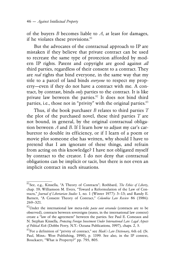of the buyers *B* becomes liable to *A*, at least for damages, if he violates these provisions.<sup>81</sup>

But the advocates of the contractual approach to IP are mistaken if they believe that private contract can be used to recreate the same type of protection afforded by modern IP rights. Patent and copyright are good against *all* third parties, regardless of their consent to a contract. They are *real* rights that bind everyone, in the same way that my title to a parcel of land binds *everyone* to respect my property—even if they do not have a contract with me. A contract, by contrast, binds *only* parties to the contract. It is like private law between the parties. $82$  It does not bind third parties, i.e., those not in "privity" with the original parties.<sup>83</sup>

Thus, if the book purchaser *B* relates to third parties *T* the plot of the purchased novel, these third parties *T* are not bound, in general, by the original contractual obligation between *A* and *B*. If I learn how to adjust my car's carburetor to double its efficiency, or if I learn of a poem or movie plot someone else has written, why should I have to pretend that I am ignorant of these things, and refrain from acting on this knowledge? I have not obligated myself by contract to the creator. I do not deny that contractual obligations can be implicit or tacit, but there is not even an implicit contract in such situations.

<sup>81</sup>See, e.g., Kinsella, "A Theory of Contracts"; Rothbard, *The Ethics of Liberty*, chap. 19; Williamson M. Evers, "Toward a Reformulation of the Law of Contracts," *Journal of Libertarian Studies* 1, no. 1 (Winter 1977): 3–13; and Randy E. Barnett, "A Consent Theory of Contract," *Columbia Law Review* 86 (1986): 269–321.

<sup>82</sup>Under the international law meta-rule *pacta sunt servanda* (contracts are to be observed), contracts between sovereigns (states, in the international law context) create a "law of the agreement" between the parties. See Paul E. Comeaux and N. Stephan Kinsella, *Protecting Foreign Investment Under International Law: Legal Aspects of Political Risk* (Dobbs Ferry, N.Y.: Oceana Publications, 1997), chaps. 2, 5.

<sup>83</sup>For a definition of "privity of contract," see *Black's Law Dictionary*, 6th ed. (St. Paul, Minn.: West Publishing, 1990), p. 1199. See also, in the IP context, Bouckaert, "What is Property?" pp. 795, 805.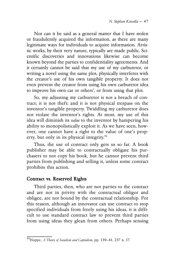Nor can it be said as a general matter that I have stolen or fraudulently acquired the information, as there are many legitimate ways for individuals to acquire information. Artistic works, by their very nature, typically are made public. Scientific discoveries and innovations likewise can become known beyond the parties to confidentiality agreements. And it certainly cannot be said that my use of my carburetor, or writing a novel using the same plot, physically interferes with the creator's use of his own tangible property. It does not even prevent the creator from using his own carburetor idea to improve his own car or others', or from using that plot.

So, my adjusting my carburetor is not a breach of contract; it is not theft; and it is not physical trespass on the inventor's tangible property. Twiddling my carburetor does not violate the inventor's rights. At most, my use of this idea will diminish its *value* to the inventor by hampering his ability to monopolistically exploit it. As we have seen, however, one cannot have a right to the value of one's property, but only in its physical integrity.<sup>84</sup>

Thus, the use of contract only gets us so far. A book publisher may be able to contractually obligate his purchasers to not copy his book, but he cannot prevent third parties from publishing and selling it, unless some contract prohibits this action.

#### Contract vs. Reserved Rights

Third parties, then, who are not parties to the contract and are not in privity with the contractual obligor and obligee, are not bound by the contractual relationship. For this reason, although an innovator can use contract to stop specified individuals from freely using his ideas, it is difficult to use standard contract law to prevent third parties from using ideas they glean from others. Perhaps sensing

<sup>84</sup>Hoppe, *A Theory of Socialism and Capitalism*, pp. 139–41, 237 n. 17.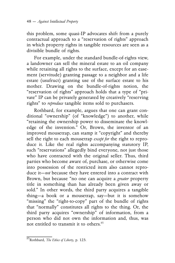this problem, some quasi-IP advocates shift from a purely contractual approach to a "reservation of rights" approach in which property rights in tangible resources are seen as a divisible bundle of rights.

For example, under the standard bundle-of-rights view, a landowner can sell the mineral estate to an oil company while retaining all rights to the surface, except for an easement (servitude) granting passage to a neighbor and a life estate (usufruct) granting use of the surface estate to his mother. Drawing on the bundle-of-rights notion, the "reservation of rights" approach holds that a type of "private" IP can be privately generated by creatively "reserving rights" to *reproduce* tangible items sold to purchasers.

Rothbard, for example, argues that one can grant conditional "ownership" (of "knowledge") to another, while "retaining the ownership power to disseminate the knowledge of the invention." Or, Brown, the inventor of an improved mousetrap, can stamp it "copyright" and thereby sell the right to each mousetrap *except for* the right to reproduce it. Like the real rights accompanying statutory IP, such "reservations" allegedly bind everyone, not just those who have contracted with the original seller. Thus, third parties who become aware of, purchase, or otherwise come into possession of the restricted item also cannot reproduce it—*not* because they have entered into a contract with Brown, but because "no one can acquire a *greater* property title in something than has already been given away or sold." In other words, the third party acquires a tangible thing—a book or a mousetrap, say—but it is somehow "missing" the "right-to-copy" part of the bundle of rights that "normally" constitutes all rights to the thing. Or, the third party acquires "ownership" of information, from a person who did not own the information and, thus, was not entitled to transmit it to others.<sup>85</sup>

<sup>85</sup>Rothbard, *The Ethics of Liberty*, p. 123.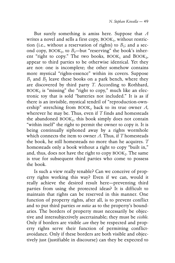But surely something is amiss here. Suppose that *A* writes a novel and sells a first copy,  $BOOK<sub>1</sub>$ , without restriction (i.e., without a reservation of rights) to  $B_1$ ; and a second copy,  $BOOK<sub>2</sub>$ , to  $B<sub>2</sub>$ —but "reserving" the book's inherent "right to copy." The two books,  $BOOK<sub>1</sub>$  and  $BOOK<sub>2</sub>$ , appear to third parties to be otherwise identical. Yet they are not: one is incomplete; the other somehow contains more mystical "rights-essence" within its covers. Suppose  $B_1$  and  $B_2$  leave these books on a park bench, where they are discovered by third party *T*. According to Rothbard,  $BOOK<sub>2</sub>$  is "missing" the "right to copy," much like an electronic toy that is sold "batteries not included." It is as if there is an invisible, mystical tendril of "reproduction-ownership" stretching from BOOK<sub>2</sub> back to its true owner  $A$ , wherever he may be. Thus, even if *T* finds and homesteads the abandoned  $BOOK<sub>2</sub>$ , this book simply does not contain "within itself" the right to permit the owner to copy it. It is being continually siphoned away by a rights wormhole which connects the item to owner *A*. Thus, if *T* homesteads the book, he still homesteads no more than he acquires. *T* homesteads only a book without a right to copy "built in," and, thus, does not have the right to copy BOOK<sub>2</sub>. The same is true for subsequent third parties who come to possess the book.

Is such a view really tenable? Can we conceive of property rights working this way? Even if we can, would it really achieve the desired result here—preventing third parties from using the protected ideas? It is difficult to maintain that rights can be reserved in this manner. One function of property rights, after all, is to prevent conflict and to put third parties *on notice* as to the property's boundaries. The borders of property must necessarily be objective and intersubjectively ascertainable; they must be *visible*. Only if borders are visible *can* they be respected and property rights serve their function of permitting conflictavoidance. Only if these borders are both visible and objectively just (justifiable in discourse) can they be expected to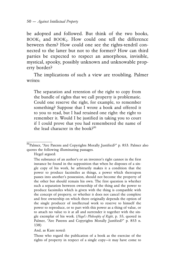be adopted and followed. But think of the two books,  $BOOK<sub>1</sub>$  and  $BOOK<sub>2</sub>$ . How could one tell the difference between them? How could one see the rights-tendril connected to the latter but not to the former? How can third parties be expected to respect an amorphous, invisible, mystical, spooky, possibly unknown and unknowable property border?

The implications of such a view are troubling. Palmer writes:

The separation and retention of the right to copy from the bundle of rights that we call property is problematic. Could one reserve the right, for example, to remember something? Suppose that I wrote a book and offered it to you to read, but I had retained one right: the right to remember it. Would I be justified in taking you to court if I could prove that you had remembered the name of the lead character in the book? $86$ 

And, as Kant noted:

Those who regard the publication of a book as the exercise of the rights of property in respect of a single copy—it may have come to

 $86$ Palmer, "Are Patents and Copyrights Morally Justified?" p. 853. Palmer also quotes the following illuminating passages.

Hegel argued:

The substance of an author's or an inventor's right cannot in the first instance be found in the supposition that when he disposes of a single copy of his work, he arbitrarily makes it a condition that the power to produce facsimiles as things, a power which thereupon passes into another's possession, should not become the property of the other but should remain his own. The first question is whether such a separation between ownership of the thing and the power to produce facsimiles which is given with the thing is compatible with the concept of property, or whether it does not cancel the complete and free ownership on which there originally depends the option of the single producer of intellectual work to reserve to himself the power to reproduce, or to part with this power as a thing of value, or to attach no value to it at all and surrender it together with the single exemplar of his work. (*Hegel's Philosophy of Right*, p. 55, quoted in Palmer, "Are Patents and Copyrights Morally Justified?" p. 853 n. 138)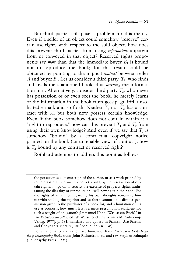But third parties still pose a problem for this theory. Even if a seller of an object could somehow "reserve" certain use-rights with respect to the sold object, how does this prevent third parties from using *information* apparent from or conveyed in that object? Reserved rights proponents say *more* than that the immediate buyer  $B_1$  is bound not to reproduce the book; for this result could be obtained by pointing to the implicit *contract* between seller *A* and buyer  $B_1$ . Let us consider a third party,  $T_1$ , who finds and reads the abandoned book, thus *learning* the information in it. Alternatively, consider third party  $T_2$ , who never has possession of or even sees the book; he merely learns of the information in the book from gossip, graffiti, unsolicited e-mail, and so forth. Neither  $T_1$  nor  $T_2$  has a contract with *A*, but both now possess certain knowledge. Even if the book somehow does not contain within it a "right to reproduce," how can this prevent  $T_1$  and  $T_2$  from using their own knowledge? And even if we say that  $T_1$  is somehow "bound" by a contractual copyright notice printed on the book (an untenable view of contract), how is  $T_2$  bound by any contract or reserved right?

Rothbard attempts to address this point as follows:

the possessor as a [manuscript] of the author, or as a work printed by some prior publisher—and who yet would, by the reservation of certain rights, . . . go on to restrict the exercise of property rights, maintaining the illegality of reproduction—will never attain their end. For the rights of an author regarding his own thoughts remain to him notwithstanding the reprint; and as there cannot be a distinct permission given to the purchaser of a book for, and a limitation of, its use as property, how much less is a mere presumption sufficient for such a weight of obligation? (Immanuel Kant, "Was ist ein Buch?" in *Die Metaphysic die Sitten*, ed. W. Weischedel [Frankfurt a.M.: Suhrkamp Verlag, 1977], p. 581, translated and quoted in Palmer, "Are Patents and Copyrights Morally Justified?" p. 853 n. 138)

For an alternative translation, see Immanuel Kant, *Essay Three: Of the Injustice of Counterfeiting Books*, trans. John Richardson, ed. and rev. Stephen Palmquist (Philopsychy Press, 1994).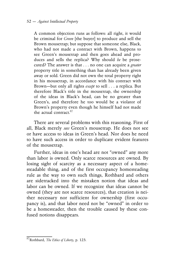A common objection runs as follows: all right, it would be criminal for *Green* [the buyer] to produce and sell the Brown mousetrap; but suppose that someone else, Black, who had not made a contract with Brown, happens to see Green's mousetrap and then goes ahead and produces and sells the replica? Why should *he* be prosecuted? The answer is that . . . no one can acquire a *greater* property title in something than has already been given away or sold. Green did not own the total property right in his mousetrap, in accordance with his contract with Brown—but only all rights *except* to sell . . . a replica. But therefore Black's title in the mousetrap, the ownership of the ideas in Black's head, can be no greater than Green's, and therefore he too would be a violator of Brown's property even though he himself had not made the actual contract  $87$ 

There are several problems with this reasoning. First of all, Black merely *sees* Green's mousetrap. He does not see or have access to ideas in Green's head. Nor does he need to have such access in order to duplicate evident features of the mousetrap.

Further, ideas in one's head are not "owned" any more than labor is owned. Only scarce resources are owned. By losing sight of scarcity as a necessary aspect of a homesteadable thing, and of the first occupancy homesteading rule as the way to own such things, Rothbard and others are sidetracked into the mistaken notion that ideas and labor can be owned. If we recognize that ideas cannot be owned (they are not scarce resources), that creation is neither necessary nor sufficient for ownership (first occupancy is), and that labor need not be "owned" in order to be a homesteader, then the trouble caused by these confused notions disappears.

<sup>87</sup>Rothbard, *The Ethics of Liberty*, p. 123.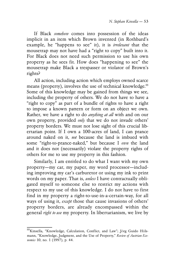If Black *somehow* comes into possession of the ideas implicit in an item which Brown invented (in Rothbard's example, he "happens to see" it), it is *irrelevant* that the mousetrap may not have had a "right to copy" built into it. For Black does not need such permission to use his own property as he sees fit. How does "happening to see" the mousetrap make Black a trespasser or violator of Brown's rights?

All action, including action which employs owned scarce means (property), involves the use of technical knowledge.<sup>88</sup> Some of this knowledge may be gained from things we see, including the property of others. We do not have to have a "right to copy" as part of a bundle of rights to have a right to impose a known pattern or form on an object we own. Rather, we have a right to do *anything at all* with and on our own property, provided *only* that we do not invade others' property borders. We must not lose sight of this crucial libertarian point. If I own a 100-acres of land, I can prance around naked on it, *not* because the land is imbued with some "right-to-prance-naked," but because I *own* the land and it does not (necessarily) violate the property rights of others for me to use my property in this fashion.

Similarly, I am entitled to do what I want with my own property—my car, my paper, my word processor—including improving my car's carburetor or using my ink to print words on my paper. That is, *unless* I have contractually obligated myself to someone else to restrict my actions with respect to my use of this knowledge. I do not have to first find in my property a right-to-use-in-a-certain-way, for all ways of using it, *except* those that cause invasions of others' property borders, are already encompassed within the general *right to use* my property. In libertarianism, we live by

<sup>88</sup>Kinsella, "Knowledge, Calculation, Conflict, and Law"; Jörg Guido Hülsmann, "Knowledge, Judgment, and the Use of Property," *Review of Austrian Economics* 10, no. 1 (1997), p. 44.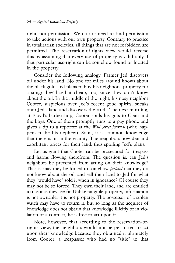right, not permission. We do not need to find permission to take actions with our own property. Contrary to practice in totalitarian societies, all things that are not forbidden are permitted. The reservation-of-rights view would reverse this by assuming that every use of property is valid only if that particular use-right can be somehow found or located in the property.

Consider the following analogy. Farmer Jed discovers oil under his land. No one for miles around knows about the black gold. Jed plans to buy his neighbors' property for a song; they'll sell it cheap, too, since they don't know about the oil. In the middle of the night, his nosy neighbor Cooter, suspicious over Jed's recent good spirits, sneaks onto Jed's land and discovers the truth. The next morning, at Floyd's barbershop, Cooter spills his guts to Clem and the boys. One of them promptly runs to a pay phone and gives a tip to a reporter at the *Wall Street Journal* (who happens to be his nephew). Soon, it is common knowledge that there is oil in the vicinity. The neighbors now demand exorbitant prices for their land, thus spoiling Jed's plans.

Let us grant that Cooter can be prosecuted for trespass and harms flowing therefrom. The question is, can Jed's neighbors be prevented from acting on their knowledge? That is, may they be forced to somehow *pretend* that they do not know about the oil, and sell their land to Jed for what they "would have" sold it when in ignorance? Of course they may not be so forced. They own their land, and are entitled to use it as they see fit. Unlike tangible property, information is not ownable; it is not property. The possessor of a stolen watch may have to return it, but so long as the acquirer of knowledge does not obtain that knowledge illicitly or in violation of a contract, he is free to act upon it.

Note, however, that according to the reservation-ofrights view, the neighbors would not be permitted to act upon their knowledge because they obtained it ultimately from Cooter, a trespasser who had no "title" to that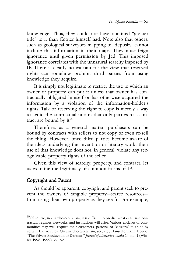knowledge. Thus, they could not have obtained "greater title" to it than Cooter himself had. Note also that others, such as geological surveyors mapping oil deposits, cannot include this information in their maps. They must feign ignorance until given permission by Jed. This imposed ignorance correlates with the unnatural scarcity imposed by IP. There is clearly no warrant for the view that reserved rights can somehow prohibit third parties from using knowledge they acquire.

It is simply not legitimate to restrict the use to which an owner of property can put it unless that owner has contractually obligated himself or has otherwise acquired the information by a violation of the information-holder's rights. Talk of reserving the right to copy is merely a way to avoid the contractual notion that only parties to a contract are bound by it.<sup>89</sup>

Therefore, as a general matter, purchasers can be bound by contracts with sellers to not copy or even re-sell the thing. However, once third parties become aware of the ideas underlying the invention or literary work, their use of that knowledge does not, in general, violate any recognizable property rights of the seller.

Given this view of scarcity, property, and contract, let us examine the legitimacy of common forms of IP.

### Copyright and Patent

As should be apparent, copyright and patent seek to prevent the owners of tangible property—scarce resources from using their own property as they see fit. For example,

 $\frac{89}{6}$ Of course, in anarcho-capitalism, it is difficult to predict what extensive contractual regimes, networks, and institutions will arise. Various enclaves or communities may well require their customers, patrons, or "citizens" to abide by certain IP-like rules. On anarcho-capitalism, see, e.g., Hans-Hermann Hoppe, "The Private Production of Defense," *Journal of Libertarian Studies* 14, no. 1 (Winter 1998–1999): 27–52.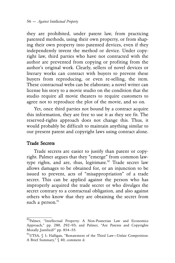they are prohibited, under patent law, from practicing patented methods, using their own property, or from shaping their own property into patented devices, even if they independently invent the method or device. Under copyright law, third parties who have not contracted with the author are prevented from copying or profiting from the author's original work. Clearly, sellers of novel devices or literary works can contract with buyers to prevent these buyers from reproducing, or even re-selling, the item. These contractual webs can be elaborate; a novel writer can license his story to a movie studio on the condition that the studio require all movie theaters to require customers to agree not to reproduce the plot of the movie, and so on.

Yet, once third parties not bound by a contract acquire this information, they are free to use it as they see fit. The reserved-rights approach does not change this. Thus, it would probably be difficult to maintain anything similar to our present patent and copyright laws using contract alone.

#### Trade Secrets

Trade secrets are easier to justify than patent or copyright. Palmer argues that they "emerge" from common lawtype rights, and are, thus, legitimate.<sup>90</sup> Trade secret law allows damages to be obtained for, or an injunction to be issued to prevent, acts of "misappropriation" of a trade secret. This can be applied against the person who has improperly acquired the trade secret or who divulges the secret contrary to a contractual obligation, and also against others who know that they are obtaining the secret from such a person.<sup>91</sup>

<sup>90</sup>Palmer, "Intellectual Property: A Non-Posnerian Law and Economics Approach," pp. 280, 292–93; and Palmer, "Are Patents and Copyrights Morally Justified?" pp. 854–55.

 $91$ UTSA,  $\Diamond$  1; Halligan, "Restatement of the Third Law-Unfair Competition: A Brief Summary," § 40, comment d.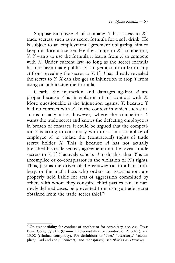Suppose employee  $A$  of company  $X$  has access to  $X$ 's trade secrets, such as its secret formula for a soft drink. He is subject to an employment agreement obligating him to keep this formula secret. He then jumps to *X*'s competitor, *Y*. *Y* wants to use the formula it learns from *A* to compete with *X*. Under current law, so long as the secret formula has not been made public, *X* can get a court order to stop *A* from revealing the secret to *Y*. If *A* has already revealed the secret to *Y*, *X* can also get an injunction to stop *Y* from using or publicizing the formula.

Clearly, the injunction and damages against *A* are proper because *A* is in violation of his contract with *X*. More questionable is the injunction against *Y*, because Y had no contract with *X*. In the context in which such situations usually arise, however, where the competitor *Y* wants the trade secret and knows the defecting employee is in breach of contract, it could be argued that the competitor *Y* is acting in conspiracy with or as an accomplice of employee *A* to violate the (contractual) rights of trade secret holder *X*. This is because *A* has not actually breached his trade secrecy agreement until he reveals trade secrets to *Y*. If *Y* actively solicits *A* to do this, then *Y* is an accomplice or co-conspirator in the violation of *X*'s rights. Thus, just as the driver of the getaway car in a bank robbery, or the mafia boss who orders an assassination, are properly held liable for acts of aggression committed by others with whom they conspire, third parties can, in narrowly defined cases, be prevented from using a trade secret obtained from the trade secret thief.<sup>92</sup>

 $\frac{1}{92}$ On responsibility for conduct of another or for conspiracy, see, e.g., Texas Penal Code, §§ 7.02 (Criminal Responsibility for Conduct of Another), and 15.02 (criminal conspiracy). For definitions of "abet," "accessory," "accomplice," "aid and abet," "concert," and "conspiracy," see *Black's Law Dictionary*.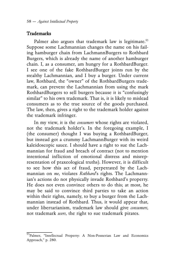#### Trademarks

Palmer also argues that trademark law is legitimate.<sup>93</sup> Suppose some Lachmannian changes the name on his failing hamburger chain from LachmannBurgers to Rothbard Burgers, which is already the name of another hamburger chain. I, as a consumer, am hungry for a RothbardBurger. I see one of the fake RothbardBurger joints run by the stealthy Lachmannian, and I buy a burger. Under current law, Rothbard, the "owner" of the RothbardBurgers trademark, can prevent the Lachmannian from using the mark RothbardBurgers to sell burgers because it is "confusingly similar" to his own trademark. That is, it is likely to mislead consumers as to the true source of the goods purchased. The law, then, gives a right to the trademark holder against the trademark infringer.

In my view, it is the *consumers* whose rights are violated, not the trademark holder's. In the foregoing example, I (the consumer) thought I was buying a RothbardBurger, but instead got a crummy LachmannBurger with its weird kaleidoscopic sauce. I should have a right to sue the Lachmannian for fraud and breach of contract (not to mention intentional infliction of emotional distress and misrepresentation of praxeological truths). However, it is difficult to see how this act of fraud, perpetrated by the Lachmannian on *me*, violates *Rothbard*'s rights. The Lachmannian's actions do not physically invade Rothbard's property. He does not even convince others to do this; at most, he may be said to convince third parties to take an action within their rights, namely, to buy a burger from the Lachmannian instead of Rothbard. Thus, it would appear that, under libertarianism, trademark law should give *consumers*, not trademark *users*, the right to sue trademark pirates.

<sup>93</sup>Palmer, "Intellectual Property: A Non-Posnerian Law and Economics Approach," p. 280.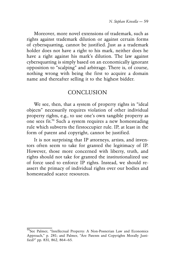Moreover, more novel extensions of trademark, such as rights against trademark dilution or against certain forms of cybersquatting, cannot be justified. Just as a trademark holder does not have a right to his mark, neither does he have a right against his mark's dilution. The law against cybersquatting is simply based on an economically ignorant opposition to "scalping" and arbitrage. There is, of course, nothing wrong with being the first to acquire a domain name and thereafter selling it to the highest bidder.

## **CONCLUSION**

We see, then, that a system of property rights in "ideal" objects" necessarily requires violation of other individual property rights, e.g., to use one's own tangible property as one sees fit.<sup>94</sup> Such a system requires a new homesteading rule which subverts the firstoccupier rule. IP, at least in the form of patent and copyright, cannot be justified.

It is not surprising that IP attorneys, artists, and inventors often seem to take for granted the legitimacy of IP. However, those more concerned with liberty, truth, and rights should not take for granted the institutionalized use of force used to enforce IP rights. Instead, we should reassert the primacy of individual rights over our bodies and homesteaded scarce resources.

<sup>94</sup>See Palmer, "Intellectual Property: A Non-Posnerian Law and Economics Approach," p. 281; and Palmer, "Are Patents and Copyrights Morally Justified?" pp. 831, 862, 864–65.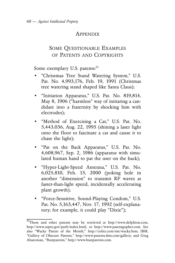## APPENDIX

# SOME QUESTIONABLE EXAMPLES OF PATENTS AND COPYRIGHTS

Some exemplary U.S. patents:<sup>95</sup>

- "Christmas Tree Stand Watering System," U.S. Pat. No. 4,993,176, Feb. 19, 1991 (Christmas tree watering stand shaped like Santa Claus);
- "Initiation Apparatus," U.S. Pat. No. 819,814, May 8, 1906 ("harmless" way of initiating a candidate into a fraternity by shocking him with electrodes);
- "Method of Exercising a Cat," U.S. Pat. No. 5,443,036, Aug. 22, 1995 (shining a laser light onto the floor to fascinate a cat and cause it to chase the light);
- "Pat on the Back Apparatus," U.S. Pat. No. 4,608,967, Sep. 2, 1986 (apparatus with simulated human hand to pat the user on the back);
- "Hyper-Light-Speed Antenna," U.S. Pat. No. 6,025,810, Feb. 15, 2000 (poking hole in another "dimension" to transmit RF waves at faster-than-light speed, incidentally accelerating plant growth);
- "Force-Sensitive, Sound-Playing Condom," U.S. Pat. No. 5,163,447, Nov. 17, 1992 (self-explanatory; for example, it could play "Dixie");

<sup>&</sup>lt;sup>95</sup>These and other patents may be retrieved at http://www.delphion.com, http://www.uspto.gov/patft/index.html, or http://www.patentgopher.com. See also "Wacky Patent of the Month," http://colitz.com/site/wacky.htm; IBM, "Gallery of Obscure Patents," http://www.patents.ibm.com/gallery; and Greg Aharonian, "Bustpatents," http://www.bustpatents.com.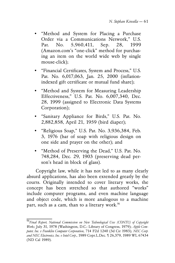- "Method and System for Placing a Purchase Order via a Communications Network," U.S. Pat. No. 5,960,411, Sep. 28, 1999 (Amazon.com's "one-click" method for purchasing an item on the world wide web by single mouse-click);
- "Financial Certificates, System and Process," U.S. Pat. No. 6,017,063, Jan. 25, 2000 (inflationindexed gift certificate or mutual fund share);
- "Method and System for Measuring Leadership Effectiveness," U.S. Pat. No. 6,007,340, Dec. 28, 1999 (assigned to Electronic Data Systems Corporation);
- "Sanitary Appliance for Birds," U.S. Pat. No. 2,882,858, April 21, 1959 (bird diaper);
- "Religious Soap," U.S. Pat. No. 3,936,384, Feb. 3, 1976 (bar of soap with religious design on one side and prayer on the other); and
- "Method of Preserving the Dead," U.S. Pat. No. 748,284, Dec. 29, 1903 (preserving dead person's head in block of glass).

Copyright law, while it has not led to as many clearly absurd applications, has also been extended greatly by the courts. Originally intended to cover literary works, the concept has been stretched so that authored "works" include computer programs, and even machine language and object code, which is more analogous to a machine part, such as a cam, than to a literary work. $96$ 

<sup>96</sup>*Final Report, National Commission on New Technological Uses (CONTU) of Copyright Works,* July 31, 1978 (Washington, D.C.: Library of Congress, 1979); *Apple Computer, Inc. v Franklin Computer Corporation*, 714 F2d 1240 (3d Cir 1983); *NEC Corp. and NEC Electronics, Inc. v Intel Corp*., 1989 Copr.L.Dec. ¶ 26,379, 1989 WL 67434 (ND Cal 1989).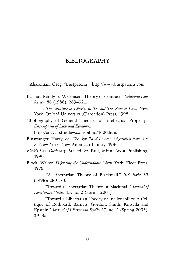#### BIBLIOGRAPHY

Aharonian, Greg. "Bustpatents." http://www.bustpatents.com.

- Barnett, Randy E. "A Consent Theory of Contract." *Columbia Law Review* 86 (1986): 269–321.
	- ——. *The Structure of Liberty: Justice and The Rule of Law*. New York: Oxford University (Clarendon) Press, 1998.
- "Bibliography of General Theories of Intellectual Property." *Encyclopedia of Law and Economics*,

http://encyclo.findlaw.com/biblio/1600.htm.

- Binswanger, Harry, ed. *The Ayn Rand Lexicon: Objectivism from A to Z*. New York: New American Library, 1986.
- *Black's Law Dictionary*. 6th ed. St. Paul, Minn.: West Publishing, 1990.
- Block, Walter. *Defending the Undefendable*. New York: Fleet Press, 1976.

——. "A Libertarian Theory of Blackmail." *Irish Jurist* 33 (1998): 280–310.

——. "Toward a Libertarian Theory of Blackmail." *Journal of Libertarian Studies* 15, no. 2 (Spring 2001).

——. "Toward a Libertarian Theory of Inalienability: A Critique of Rothbard, Barnett, Gordon, Smith, Kinsella and Epstein." *Journal of Libertarian Studies* 17, no. 2 (Spring 2003): 39–85.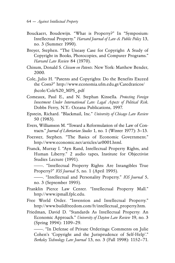- Bouckaert, Boudewijn. "What is Property?" In "Symposium: Intellectual Property." *Harvard Journal of Law & Public Policy* 13, no. 3 (Summer 1990).
- Breyer, Stephen. "The Uneasy Case for Copyright: A Study of Copyright in Books, Photocopies, and Computer Programs." *Harvard Law Review* 84 (1970).
- Chisum, Donald S. *Chisum on Patents*. New York: Matthew Bender, 2000.
- Cole, Julio H. "Patents and Copyrights: Do the Benefits Exceed the Costs?" http://www.economia.ufm.edu.gt/Catedraticos/ jhcole/Cole%20\_MPS\_.pdf
- Comeaux, Paul E., and N. Stephan Kinsella. *Protecting Foreign Investment Under International Law: Legal Aspects of Political Risk*. Dobbs Ferry, N.Y.: Oceana Publications, 1997.
- Epstein, Richard. "Blackmail, Inc." *University of Chicago Law Review* 50 (1983).
- Evers, Williamson M. "Toward a Reformulation of the Law of Contracts." *Journal of Libertarian Studies* 1, no. 1 (Winter 1977): 3–13.
- Foerster, Stephen. "The Basics of Economic Government." http://www.economic.net/articles/ar0001.html.
- Franck, Murray I. "Ayn Rand, Intellectual Property Rights, and Human Liberty." 2 audio tapes, Institute for Objectivist Studies Lecture (1991).

——. "Intellectual Property Rights: Are Intangibles True Property?" *IOS Journal* 5, no. 1 (April 1995).

- Franklin Pierce Law Center. "Intellectual Property Mall." http://www.ipmall.fplc.edu.
- Free World Order. "Invention and Intellectual Property." http://www.buildfreedom.com/ft/intellectual\_property.htm.
- Friedman, David D. "Standards As Intellectual Property: An Economic Approach." *University of Dayton Law Review* 19, no. 3 (Spring 1994): 1109–29.

——. "In Defense of Private Orderings: Comments on Julie Cohen's 'Copyright and the Jurisprudence of Self-Help'." *Berkeley Technology Law Journal* 13, no. 3 (Fall 1998): 1152–71.

<sup>——</sup>. "Intellectual and Personality Property." *IOS Journal* 5, no. 3 (September 1995).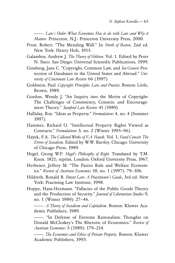——. *Law's Order: What Economics Has to do with Law and Why it Matters*. Princeton, N.J.: Princeton University Press, 2000.

- Frost, Robert. "The Mending Wall." In *North of Boston*, 2nd ed. New York: Henry Holt, 1915.
- Galambos, Andrew J. *The Theory of Volition*. Vol. 1. Edited by Peter N. Sisco. San Diego: Universal Scientific Publications, 1999.
- Ginsburg, Jane C. "Copyright, Common Law, and *Sui Generis* Protection of Databases in the United States and Abroad." *University of Cincinnati Law Review* 66 (1997).
- Goldstein, Paul. *Copyright: Principles, Law, and Practice*. Boston: Little, Brown, 1989.
- Gordon, Wendy J. "An Inquiry into the Merits of Copyright: The Challenges of Consistency, Consent, and Encouragement Theory." *Stanford Law Review* 41 (1989).
- Halliday, Roy. "Ideas as Property." *Formulations* 4, no. 4 (Summer 1997).
- Hammer, Richard O. "Intellectual Property Rights Viewed as Contracts." *Formulations* 3, no. 2 (Winter 1995–96).
- Hayek, F.A. *The Collected Works of F.A. Hayek*. Vol. 1, *Fatal Conceit: The Errors of Socialism*. Edited by W.W. Bartley. Chicago: University of Chicago Press, 1989.
- Hegel, Georg W.F. *Hegel's Philosophy of Right*. Translated by T.M. Knox. 1821; reprint, London: Oxford University Press, 1967.
- Herbener, Jeffrey M. "The Pareto Rule and Welfare Economics." *Review of Austrian Economics* 10, no. 1 (1997): 79–106.
- Hildreth, Ronald B. *Patent Law: A Practitioner's Guide*, 3rd ed. New York: Practising Law Institute, 1998.
- Hoppe, Hans-Hermann. "Fallacies of the Public Goods Theory and the Production of Security." *Journal of Libertarian Studies* 9, no. 1 (Winter 1989): 27–46.

——. *A Theory of Socialism and Capitalism*. Boston: Kluwer Academic Publishers, 1989.

——. "In Defense of Extreme Rationalism: Thoughts on Donald McCloskey's The Rhetoric of Economics." *Review of Austrian Economics* 3 (1989): 179–214.

——. *The Economics and Ethics of Private Property*. Boston: Kluwer Academic Publishers, 1993.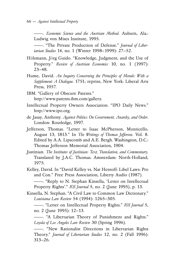——. *Economic Science and the Austrian Method*. Auburn, Ala.: Ludwig von Mises Institute, 1995.

——. "The Private Production of Defense." *Journal of Libertarian Studies* 14, no. 1 (Winter 1998–1999): 27–52.

- Hülsmann, Jörg Guido. "Knowledge, Judgment, and the Use of Property." *Review of Austrian Economics* 10, no. 1 (1997): 23–48.
- Hume, David. *An Inquiry Concerning the Principles of Morals: With a Supplement: A Dialogue*. 1751; reprint, New York: Liberal Arts Press, 1957.
- IBM. "Gallery of Obscure Patents." http://www.patents.ibm.com/gallery.
- Intellectual Property Owners Association. "IPO Daily News." http://www.ipo.org.
- de Jasay, Anthony. *Against Politics: On Government, Anarchy, and Order*. London: Routledge, 1997.
- Jefferson, Thomas. "Letter to Isaac McPherson, Monticello, August 13, 1813." In *The Writings of Thomas Jefferson*. Vol. 8. Edited by A.A. Lipscomb and A.E. Bergh. Washington, D.C.: Thomas Jefferson Memorial Association, 1904.

Justinian. *The Institutes of Justinian: Text, Translation, and Commentary*. Translated by J.A.C. Thomas. Amsterdam: North-Holland, 1975.

Kelley, David. In "David Kelley vs. Nat Hentoff: Libel Laws: Pro and Con." Free Press Association, Liberty Audio (1987).

——. "Reply to N. Stephan Kinsella, 'Letter on Intellectual Property Rights'." *IOS Journal* 5, no. 2 (June 1995), p. 13.

Kinsella, N. Stephan. "A Civil Law to Common Law Dictionary." *Louisiana Law Review* 54 (1994): 1265–305.

——. "Letter on Intellectual Property Rights." *IOS Journal* 5, no. 2 (June 1995): 12–13.

——. "A Libertarian Theory of Punishment and Rights." *Loyola of Los Angeles Law Review* 30 (Spring 1996).

——. "New Rationalist Directions in Libertarian Rights Theory." *Journal of Libertarian Studies* 12, no. 2 (Fall 1996): 313–26.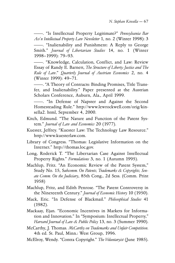——. "Is Intellectual Property Legitimate?" *Pennsylvania Bar Ass'n Intellectual Property Law Newsletter* 1, no. 2 (Winter 1998): 3

——. "Inalienability and Punishment: A Reply to George Smith." *Journal of Libertarian Studies* 14, no. 1 (Winter 1998–1999): 79–93.

——. "Knowledge, Calculation, Conflict, and Law: Review Essay of Randy E. Barnett, *The Structure of Liberty: Justice and The Rule of Law*." *Quarterly Journal of Austrian Economics* 2, no. 4 (Winter 1999): 49–71.

——. "A Theory of Contracts: Binding Promises, Title Transfer, and Inalienability." Paper presented at the Austrian Scholars Conference, Auburn, Ala., April 1999.

——. "In Defense of Napster and Against the Second Homesteading Rule." http://www.lewrockwell.com/orig/kinsella2. html, September 4, 2000.

- Kitch, Edmund. "The Nature and Function of the Patent System." *Journal of Law and Economics* 20 (1977).
- Kuester, Jeffrey. "Kuester Law: The Technology Law Resource." http://www.kuesterlaw.com.
- Library of Congress. "Thomas: Legislative Information on the Internet." http://thomas.loc.gov.
- Long, Roderick T. "The Libertarian Case Against Intellectual Property Rights." *Formulations* 3, no. 1 (Autumn 1995).
- Machlup, Fritz. "An Economic Review of the Patent System," Study No. 15, S*ubcomm. On Patents, Trademarks & Copyrights, Senate Comm. On the Judiciary*, 85th Cong., 2d Sess. (Comm. Print 1958)
- Machlup, Fritz, and Edith Penrose. "The Patent Controversy in the Nineteenth Century." *Journal of Economic History* 10 (1950).
- Mack, Eric. "In Defense of Blackmail." *Philosophical Studies* 41 (1982).
- Mackaay, Ejan. "Economic Incentives in Markets for Information and Innovation." In "Symposium: Intellectual Property," *Harvard Journal of Law & Public Policy* 13, no. 3 (Summer 1990).
- McCarthy, J. Thomas. *McCarthy on Trademarks and Unfair Competition*. 4th ed. St. Paul, Minn.: West Group, 1996.
- McElroy, Wendy. "Contra Copyright." *The Voluntaryist* (June 1985).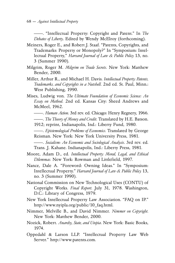68 — *Against Intellectual Property*

——. "Intellectual Property: Copyright and Patent." In *The Debates of Liberty*. Edited by Wendy McElroy (forthcoming).

- Meiners, Roger E., and Robert J. Staaf. "Patents, Copyrights, and Trademarks: Property or Monopoly?" In "Symposium: Intellectual Property," *Harvard Journal of Law & Public Policy* 13, no. 3 (Summer 1990).
- Milgrim, Roger M. *Milgrim on Trade Secrets*. New York: Matthew Bender, 2000.
- Miller, Arthur R., and Michael H. Davis. *Intellectual Property: Patents, Trademarks, and Copyrights in a Nutshell*. 2nd ed. St. Paul, Minn.: West Publishing, 1990.
- Mises, Ludwig von. *The Ultimate Foundation of Economic Science: An Essay on Method*. 2nd ed. Kansas City: Sheed Andrews and McMeel, 1962.
	- ——. *Human Action*. 3rd rev. ed. Chicago: Henry Regnery, 1966.
	- ——. *The Theory of Money and Credit*. Translated by H.E. Batson.
	- 1912; reprint, Indianapolis, Ind.: Liberty Fund, 1980.
	- ——. *Epistemological Problems of Economics*. Translated by George Reisman. New York: New York University Press, 1981.
	- ——. *Socialism: An Economic and Sociological Analysis*. 3rd rev. ed. Trans. J. Kahane. Indianapolis, Ind.: Liberty Press, 1981.
- Moore, Adam D., ed. *Intellectual Property: Moral, Legal, and Ethical Dilemmas.* New York: Rowman and Littlefield, 1997.
- Nance, Dale A. "Foreword: Owning Ideas." In "Symposium: Intellectual Property." *Harvard Journal of Law & Public Policy* 13, no. 3 (Summer 1990).
- National Commission on New Technological Uses (CONTU) of Copyright Works. *Final Report*. July 31, 1978. Washington, D.C.: Library of Congress, 1979.
- New York Intellectual Property Law Association. "FAQ on IP." http://www.nyipla.org/public/10\_faq.html.
- Nimmer, Melville B., and David Nimmer. *Nimmer on Copyright*. New York: Matthew Bender, 2000.
- Nozick, Robert. *Anarchy, State, and Utopia*. New York: Basic Books, 1974.
- Oppedahl & Larson LLP. "Intellectual Property Law Web Server." http://www.patents.com.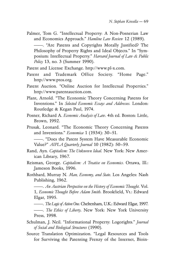Palmer, Tom G. "Intellectual Property: A Non-Posnerian Law and Economics Approach." *Hamline Law Review* 12 (1989).

——. "Are Patents and Copyrights Morally Justified? The Philosophy of Property Rights and Ideal Objects." In "Symposium: Intellectual Property." *Harvard Journal of Law & Public Policy* 13, no. 3 (Summer 1990).

Patent and License Exchange. http://www.pl-x.com.

- Patent and Trademark Office Society. "Home Page." http://www.ptos.org.
- Patent Auction. "Online Auction for Intellectual Properties." http://www.patentauction.com.
- Plant, Arnold. "The Economic Theory Concerning Patents for Inventions." In *Selected Economic Essays and Addresses*. London: Routledge & Kegan Paul, 1974.
- Posner, Richard A. *Economic Analysis of Law*. 4th ed. Boston: Little, Brown, 1992.
- Prusak, Leonard. "The Economic Theory Concerning Patents and Inventions." *Economica* 1 (1934): 30–51.

——. "Does the Patent System Have Measurable Economic Value?" *AIPLA Quarterly Journal* 10 (1982): 50–59.

- Rand, Ayn. *Capitalism: The Unknown Ideal*. New York: New American Library, 1967.
- Reisman, George. *Capitalism: A Treatise on Economics*. Ottawa, Ill.: Jameson Books, 1996.
- Rothbard, Murray N. *Man, Economy, and State*. Los Angeles: Nash Publishing, 1962.

——. *An Austrian Perspective on the History of Economic Thought*. Vol. 1, *Economic Thought Before Adam Smith*. Brookfield, Vt.: Edward Elgar, 1995.

——. *The Logic of Action One*. Cheltenham, U.K.: Edward Elgar, 1997.

——. *The Ethics of Liberty*. New York: New York University Press, 1998.

- Schulman, J. Neil. "Informational Property: Logorights." *Journal of Social and Biological Structures* (1990).
- Source Translation Optimization. "Legal Resources and Tools for Surviving the Patenting Frenzy of the Internet, Bioin-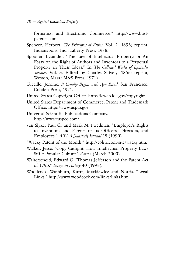formatics, and Electronic Commerce." http://www.bustpatents.com.

- Spencer, Herbert. *The Principles of Ethics*. Vol. 2. 1893; reprint, Indianapolis, Ind.: Liberty Press, 1978.
- Spooner, Lysander. "The Law of Intellectual Property: or An Essay on the Right of Authors and Inventors to a Perpetual Property in Their Ideas." In *The Collected Works of Lysander Spooner*. Vol. 3. Edited by Charles Shively. 1855; reprint, Weston, Mass.: M&S Press, 1971).
- Tuccille, Jerome. *It Usually Begins with Ayn Rand*. San Francisco: Cobden Press, 1971.
- United States Copyright Office. http://lcweb.loc.gov/copyright.
- United States Department of Commerce, Patent and Trademark Office. http://www.uspto.gov.
- Universal Scientific Publications Company. http://www.tuspco.com/.
- van Slyke, Paul C., and Mark M. Friedman. "Employer's Rights to Inventions and Patents of Its Officers, Directors, and Employees." *AIPLA Quarterly Journal* 18 (1990).
- "Wacky Patent of the Month." http://colitz.com/site/wacky.htm.
- Walker, Jesse. "Copy Catfight: How Intellectual Property Laws Stifle Popular Culture." *Reason* (March 2000).
- Walterscheid, Edward C. "Thomas Jefferson and the Patent Act of 1793." *Essays in History* 40 (1998).
- Woodcock, Washburn, Kurtz, Mackiewicz and Norris. "Legal Links." http://www.woodcock.com/links/links.htm.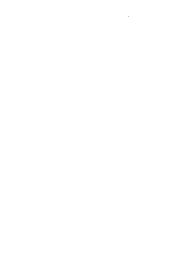$\label{eq:2} \begin{split} \mathcal{L}_{\text{max}}(\mathbf{r}) = \mathcal{L}_{\text{max}}(\mathbf{r}) \,, \end{split}$